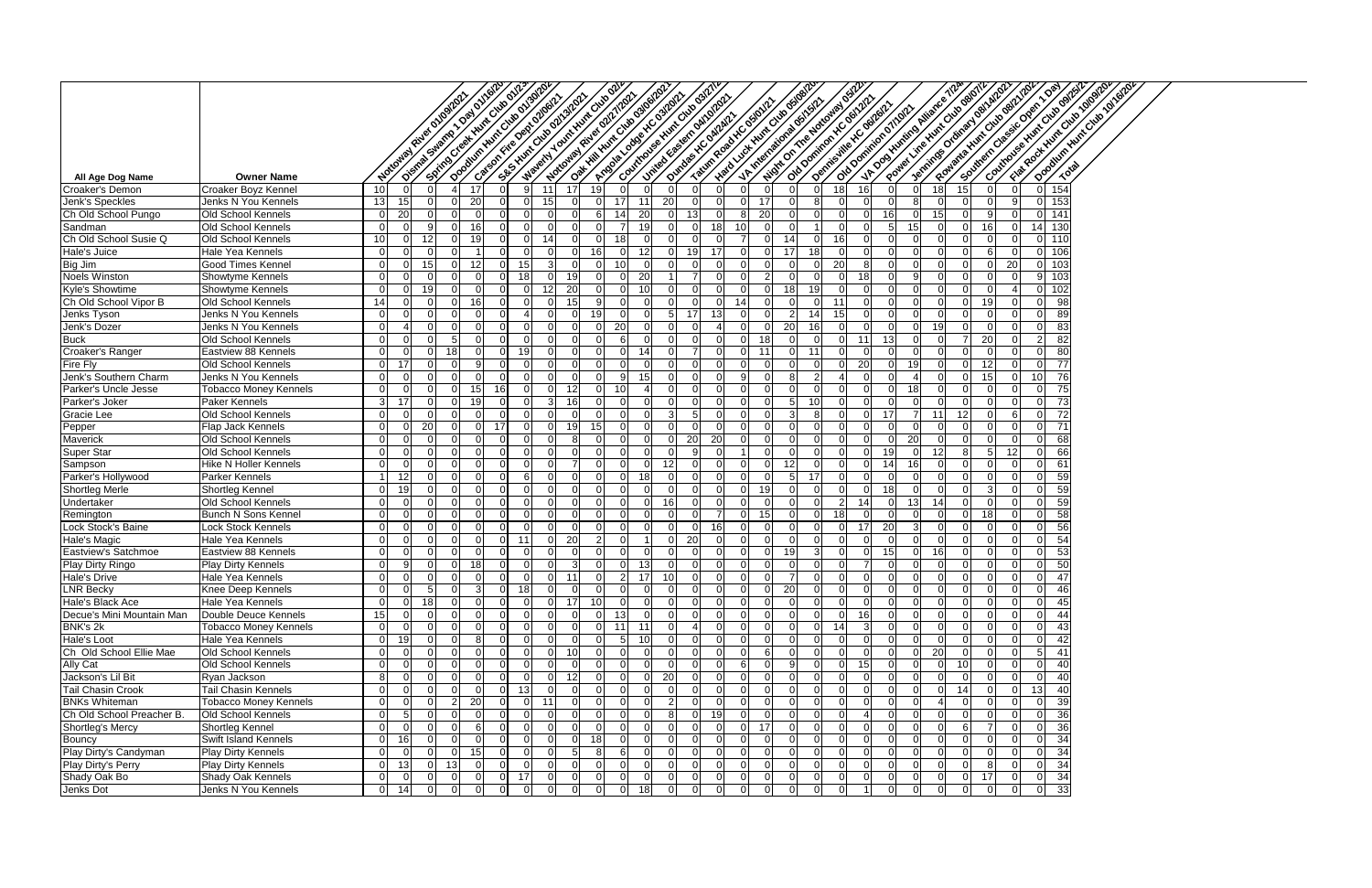|                                      |                                                   |                                | Of Street of Marian Oat of Indian<br>Notional River oriosing! |                        |                             | Doodum Nut Out of Original<br>Spiritual of the High Club of 123<br>SE SHUTCHES ON STORY |                |                 | Material Touristics Cities of<br>Oak Hill Nunc Cities of Orleans<br><b>Notional River on Tringsh's</b><br>Accident of the Contact - |                      |           | Covintions@ Hunt City Oshill<br>Luited Eastern out of our | <b>Hard Luck Hunt City of digital</b> |                      |                           |          | Night On The Noticities of Strip                                       | VADOSHUNING AIRES (1744) |         |          |    | Rowanta Hunt Oliv gazy 252<br>Southern Classic Open 10av<br>Jonnings Ordinary of Michigan<br>Power Line Hunt Cities Barris |          |                                  | Country over Him Cities of Bilban | Opening Hunt Outo Analysis<br>Fish Root Hunt Out of Optor |  |
|--------------------------------------|---------------------------------------------------|--------------------------------|---------------------------------------------------------------|------------------------|-----------------------------|-----------------------------------------------------------------------------------------|----------------|-----------------|-------------------------------------------------------------------------------------------------------------------------------------|----------------------|-----------|-----------------------------------------------------------|---------------------------------------|----------------------|---------------------------|----------|------------------------------------------------------------------------|--------------------------|---------|----------|----|----------------------------------------------------------------------------------------------------------------------------|----------|----------------------------------|-----------------------------------|-----------------------------------------------------------|--|
|                                      |                                                   |                                |                                                               |                        |                             | Categorite Ostronger)                                                                   |                |                 |                                                                                                                                     |                      |           |                                                           | Taum Road XC osiolici                 |                      | - V. Mercational day Str. |          | old poming r Kc garar.<br>Demissive Kc oanal2<br>Old Dominion Officers |                          |         |          |    |                                                                                                                            |          |                                  |                                   |                                                           |  |
|                                      |                                                   |                                |                                                               |                        |                             |                                                                                         |                |                 |                                                                                                                                     |                      |           |                                                           | Dundos K. Outputz                     |                      |                           |          |                                                                        |                          |         |          |    |                                                                                                                            |          |                                  |                                   |                                                           |  |
|                                      |                                                   |                                |                                                               |                        |                             |                                                                                         |                |                 |                                                                                                                                     |                      |           |                                                           |                                       |                      |                           |          |                                                                        |                          |         |          |    |                                                                                                                            |          |                                  |                                   |                                                           |  |
|                                      |                                                   |                                |                                                               |                        |                             |                                                                                         |                |                 |                                                                                                                                     |                      |           |                                                           |                                       |                      |                           |          |                                                                        |                          |         |          |    |                                                                                                                            |          |                                  |                                   |                                                           |  |
| All Age Dog Name                     | <b>Owner Name</b>                                 |                                |                                                               |                        |                             |                                                                                         |                |                 |                                                                                                                                     |                      |           |                                                           |                                       |                      |                           |          |                                                                        |                          |         |          |    |                                                                                                                            |          |                                  |                                   |                                                           |  |
| Croaker's Demon                      | Croaker Boyz Kennel                               | 10 <sup>1</sup>                |                                                               |                        | 17                          | Q                                                                                       | -11            | 17              | 19                                                                                                                                  |                      |           |                                                           |                                       |                      |                           |          | 18                                                                     | 16                       |         |          | 18 | 15                                                                                                                         | $\Omega$ | $\Omega$                         | 154                               |                                                           |  |
| Jenk's Speckles                      | Jenks N You Kennels                               | 13 <sub>l</sub>                | 15                                                            |                        | 20                          | U                                                                                       | 15             |                 |                                                                                                                                     | 11<br>17             | 20        |                                                           |                                       | 17<br>ΩI             |                           |          |                                                                        | ∩                        |         |          |    |                                                                                                                            | a        | $\Omega$                         | 153                               |                                                           |  |
| Ch Old School Pungo                  | Old School Kennels                                | $\left($                       | 20                                                            | <sup>0</sup>           | 0                           |                                                                                         |                |                 | 6                                                                                                                                   | 20                   |           |                                                           |                                       | 20                   |                           |          |                                                                        |                          | 16      |          | 15 |                                                                                                                            |          | 0                                | 141                               |                                                           |  |
| Sandman                              | Old School Kennels                                | $\Omega$                       |                                                               | 9                      | 16                          |                                                                                         |                |                 |                                                                                                                                     | 19                   |           |                                                           |                                       |                      |                           |          |                                                                        | ∩                        | 15<br>5 |          |    |                                                                                                                            | $\Omega$ | 14                               | 130                               |                                                           |  |
| Ch Old School Susie Q                | Old School Kennels                                | 10                             |                                                               | 12                     | 19                          | U                                                                                       | 14             |                 |                                                                                                                                     |                      |           |                                                           |                                       |                      | 14                        |          | 16                                                                     | $\cap$                   |         |          |    |                                                                                                                            |          |                                  | $0$ 110                           |                                                           |  |
| Hale's Juice                         | Hale Yea Kennels                                  | $\Omega$                       |                                                               | $\Omega$               |                             |                                                                                         |                |                 | 16                                                                                                                                  | 12                   |           | 19                                                        | -17                                   |                      | 17                        | 18       |                                                                        | ∩                        |         |          |    |                                                                                                                            |          | $\Omega$                         | 106                               |                                                           |  |
| Big Jim                              | Good Times Kennel                                 |                                |                                                               | 15                     | 12.                         |                                                                                         |                |                 |                                                                                                                                     |                      |           |                                                           |                                       |                      |                           |          | 20                                                                     |                          |         |          |    |                                                                                                                            | 20       | 0                                | 103                               |                                                           |  |
| <b>Noels Winston</b>                 | Showtyme Kennels                                  |                                |                                                               | ∩                      |                             |                                                                                         |                |                 |                                                                                                                                     | 20                   |           |                                                           |                                       |                      |                           |          |                                                                        | 18                       |         |          |    |                                                                                                                            |          | 9                                | 103                               |                                                           |  |
| Kyle's Showtime                      | <b>Showtyme Kennels</b>                           | $\Omega$                       |                                                               | 19                     | 16                          |                                                                                         |                | 20<br>15        | c                                                                                                                                   | 10                   |           |                                                           |                                       |                      |                           | 19       |                                                                        | ∩<br>0                   |         |          |    |                                                                                                                            |          | $\Omega$<br>O                    | 102<br>$\overline{98}$            |                                                           |  |
| Ch Old School Vipor B<br>Jenks Tyson | Old School Kennels<br>Jenks N You Kennels         | 14<br>$\Omega$                 |                                                               | $\Omega$               | $\Omega$                    |                                                                                         |                |                 | 19                                                                                                                                  |                      |           | -17                                                       | 13                                    |                      |                           |          | 11<br>15                                                               |                          |         |          |    |                                                                                                                            |          | $\Omega$                         | 89                                |                                                           |  |
| Jenk's Dozer                         | Jenks N You Kennels                               | ∩                              |                                                               | $\Omega$               | $\Omega$                    |                                                                                         |                |                 |                                                                                                                                     | 20                   |           |                                                           |                                       |                      | 20                        | 16       |                                                                        |                          |         |          | 19 |                                                                                                                            |          | <sup>0</sup>                     | 83                                |                                                           |  |
| <b>Buck</b>                          | Old School Kennels                                | $\Omega$                       |                                                               | $\Omega$               | $\Omega$                    | ∩                                                                                       |                |                 |                                                                                                                                     |                      |           |                                                           |                                       | ΩI<br>18             |                           |          |                                                                        | 11<br>-13                |         |          |    | -20                                                                                                                        |          | 2                                | $\overline{82}$                   |                                                           |  |
| Croaker's Ranger                     | Eastview 88 Kennels                               |                                |                                                               |                        |                             |                                                                                         |                |                 |                                                                                                                                     |                      | 14        |                                                           |                                       | $1^{\prime}$         |                           |          |                                                                        |                          |         |          |    |                                                                                                                            |          |                                  | 80                                |                                                           |  |
| Fire Fly                             | Old School Kennels                                | $\Omega$                       |                                                               |                        |                             |                                                                                         |                |                 |                                                                                                                                     |                      |           |                                                           |                                       |                      |                           |          |                                                                        | 20                       | 19      |          |    |                                                                                                                            |          | $\Omega$                         | 77                                |                                                           |  |
| Jenk's Southern Charm                | Jenks N You Kennels                               | $\Omega$                       |                                                               |                        | <sup>0</sup>                |                                                                                         |                |                 |                                                                                                                                     | 15<br>a              |           |                                                           |                                       | a                    |                           |          |                                                                        | O                        |         | $\Delta$ |    |                                                                                                                            | O        | 10 <sup>1</sup>                  | 76                                |                                                           |  |
| <b>Parker's Uncle Jesse</b>          | Tobacco Money Kennels                             | $\Omega$                       |                                                               |                        | 15                          |                                                                                         |                |                 |                                                                                                                                     |                      |           |                                                           |                                       |                      |                           |          |                                                                        | $\Omega$                 | 18      |          |    |                                                                                                                            |          | $\Omega$                         | $\overline{75}$                   |                                                           |  |
| Parker's Joker                       | Paker Kennels                                     | $\overline{3}$                 | -17                                                           | 0                      | 19                          |                                                                                         |                | 16              |                                                                                                                                     |                      |           |                                                           |                                       |                      |                           |          |                                                                        | $\Omega$                 |         |          |    |                                                                                                                            | 0        | $\overline{0}$                   | 73                                |                                                           |  |
| Gracie Lee                           | Old School Kennels                                | $\Omega$                       |                                                               | $\Omega$               | $\Omega$                    |                                                                                         |                |                 |                                                                                                                                     | $\Omega$             |           |                                                           |                                       |                      |                           |          |                                                                        | -17<br>$\Omega$          |         | -11      |    | -12                                                                                                                        | 6        | $\overline{0}$                   | 72                                |                                                           |  |
| Pepper                               | Flap Jack Kennels                                 | $\Omega$                       |                                                               | 20                     | 0I                          | -17                                                                                     | $\Omega$       | 19              | 15                                                                                                                                  | $\Omega$             |           |                                                           | $\Omega$                              | $\Omega$             |                           |          |                                                                        | $\Omega$                 |         |          |    |                                                                                                                            | $\Omega$ | $\Omega$                         | $\overline{71}$                   |                                                           |  |
| Maverick<br>Super Star               | Old School Kennels<br>Old School Kennels          | ∩                              |                                                               | <sup>0</sup>           |                             |                                                                                         |                |                 |                                                                                                                                     |                      |           | 20                                                        | 20                                    |                      |                           |          |                                                                        | 1. <sup>C</sup>          | 20      |          |    |                                                                                                                            |          | $\Omega$                         | 68<br>66                          |                                                           |  |
| Sampson                              | Hike N Holler Kennels                             |                                |                                                               |                        |                             |                                                                                         |                |                 |                                                                                                                                     |                      | 12        |                                                           |                                       |                      |                           |          |                                                                        | 14                       | 16      |          | 12 |                                                                                                                            |          | O                                | 61                                |                                                           |  |
| Parker's Hollywood                   | Parker Kennels                                    | <u>1</u>                       | 12                                                            |                        | <sup>0</sup>                |                                                                                         |                |                 |                                                                                                                                     | 18                   |           |                                                           |                                       |                      |                           | 17       |                                                                        |                          |         |          |    |                                                                                                                            |          | 0                                | 59                                |                                                           |  |
| <b>Shortleg Merle</b>                | Shortleg Kennel                                   | 0                              | 19                                                            |                        | $\Omega$                    |                                                                                         |                |                 |                                                                                                                                     |                      |           |                                                           |                                       |                      |                           |          |                                                                        | 18                       |         |          |    |                                                                                                                            |          | 0                                | 59                                |                                                           |  |
| Undertaker                           | Old School Kennels                                | $\Omega$                       |                                                               | $\Omega$               | $\Omega$                    |                                                                                         |                |                 |                                                                                                                                     | $\Omega$             | 16        |                                                           |                                       |                      |                           |          |                                                                        | 14                       | -13     | -14      |    |                                                                                                                            | $\Omega$ | $\Omega$                         | 59                                |                                                           |  |
| Remington                            | <b>Bunch N Sons Kennel</b>                        | $\Omega$                       |                                                               | $\Omega$               | $\Omega$                    | ΩI                                                                                      |                |                 |                                                                                                                                     |                      |           |                                                           |                                       | 15<br>ΩI             |                           | $\Omega$ | 18                                                                     | $\Omega$                 |         |          |    |                                                                                                                            | $\Omega$ | $\Omega$                         | 58                                |                                                           |  |
| Lock Stock's Baine                   | Lock Stock Kennels                                | 0                              |                                                               | <sup>0</sup>           | $\Omega$                    |                                                                                         |                |                 |                                                                                                                                     |                      |           |                                                           |                                       |                      |                           |          |                                                                        | 17<br>-20                |         |          |    |                                                                                                                            |          | 0                                | 56                                |                                                           |  |
| Hale's Magic                         | Hale Yea Kennels                                  |                                |                                                               | 0                      |                             |                                                                                         |                | 20              |                                                                                                                                     |                      |           | -20                                                       |                                       |                      |                           |          |                                                                        |                          |         |          |    |                                                                                                                            |          | 0                                | 54                                |                                                           |  |
| <b>Eastview's Satchmoe</b>           | Eastview 88 Kennels                               |                                |                                                               |                        |                             |                                                                                         |                |                 |                                                                                                                                     |                      |           |                                                           |                                       |                      |                           |          |                                                                        |                          | 15      |          |    |                                                                                                                            |          |                                  | 01<br>-53                         |                                                           |  |
| Play Dirty Ringo                     | Play Dirty Kennels                                | $\Omega$                       | 9                                                             | $\Omega$               | 18 <sup>l</sup><br>$\Omega$ | $\Omega$<br>$\Omega$                                                                    |                |                 |                                                                                                                                     | 13<br>$\Omega$       |           | $\overline{0}$                                            | $\Omega$                              | $\Omega$             |                           |          |                                                                        |                          |         | $\Omega$ |    |                                                                                                                            | $\Omega$ | $\overline{0}$                   | 50                                |                                                           |  |
| Hale's Drive                         | Hale Yea Kennels                                  |                                |                                                               | $\Omega$               | $\Omega$                    |                                                                                         |                | 11              |                                                                                                                                     | 17 <sup>1</sup><br>2 | 10        |                                                           |                                       |                      |                           |          |                                                                        |                          |         |          |    |                                                                                                                            |          |                                  | 47                                |                                                           |  |
| <b>LNR Becky</b><br>Hale's Black Ace | Knee Deep Kennels<br>Hale Yea Kennels             | $\Omega$                       |                                                               | -5 I<br>18             | 3<br>$\Omega$               | 18<br>$\Omega$                                                                          | $\Omega$       | 17 <sup>1</sup> | -10                                                                                                                                 | $\Omega$             | $\Omega$  | $\Omega$                                                  | $\Omega$                              | ΩI                   | -20                       |          |                                                                        | $\Omega$                 |         | $\Omega$ |    |                                                                                                                            | $\Omega$ | $\overline{0}$<br>$\overline{0}$ | 46<br>45                          |                                                           |  |
| Decue's Mini Mountain Man            | Double Deuce Kennels                              | 15                             |                                                               | 0 I                    | $\Omega$                    | ΩI                                                                                      |                |                 |                                                                                                                                     | 13                   |           | -01                                                       |                                       | ΩI                   |                           |          |                                                                        | 16                       |         |          |    |                                                                                                                            |          | $\overline{0}$                   | 44                                |                                                           |  |
| BNK's 2k                             | <b>Tobacco Money Kennels</b>                      | $\Omega$                       |                                                               | ΟI                     | $\Omega$                    |                                                                                         |                |                 |                                                                                                                                     | 11                   |           |                                                           |                                       | $\Omega$             |                           |          |                                                                        | $\mathbf{3}$             |         |          |    |                                                                                                                            |          | ΟI                               | 43                                |                                                           |  |
| Hale's Loot                          | Hale Yea Kennels                                  | $\Omega$                       | 19                                                            | 0 I                    | 8                           |                                                                                         |                |                 |                                                                                                                                     | 10 I<br>$5 \mid$     |           |                                                           |                                       |                      |                           |          |                                                                        | $\Omega$                 |         |          |    |                                                                                                                            |          | $\overline{0}$                   | 42                                |                                                           |  |
| Ch Old School Ellie Mae              | Old School Kennels                                | $\Omega$                       |                                                               | $\Omega$               | $\Omega$                    |                                                                                         |                | 10              |                                                                                                                                     |                      |           |                                                           |                                       | $\Omega$             |                           |          |                                                                        | $\Omega$                 |         |          | 20 |                                                                                                                            |          | -51                              | 41                                |                                                           |  |
| <b>Ally Cat</b>                      | Old School Kennels                                |                                |                                                               |                        |                             |                                                                                         |                |                 |                                                                                                                                     |                      |           |                                                           |                                       |                      |                           |          |                                                                        | 15                       |         |          |    |                                                                                                                            |          |                                  | 40                                |                                                           |  |
| Jackson's Lil Bit                    | Ryan Jackson                                      | 8                              |                                                               |                        |                             |                                                                                         |                |                 |                                                                                                                                     |                      | <b>20</b> |                                                           |                                       |                      |                           |          |                                                                        | $\Omega$                 |         |          |    |                                                                                                                            |          | $\Omega$                         | 40                                |                                                           |  |
| <b>Tail Chasin Crook</b>             | <b>Tail Chasin Kennels</b>                        | ∩                              |                                                               | $\Omega$               | $\Omega$                    | 13 <sup>1</sup>                                                                         |                |                 |                                                                                                                                     |                      |           |                                                           |                                       |                      |                           |          |                                                                        | $\Omega$                 |         |          |    |                                                                                                                            | $\Omega$ | 13 <sup>l</sup>                  | 40                                |                                                           |  |
| <b>BNKs Whiteman</b>                 | <b>Tobacco Money Kennels</b>                      | <sup>0</sup>                   |                                                               | $\overline{0}$         | 20 <sup>1</sup>             | $\Omega$                                                                                | $\Omega$<br>11 |                 |                                                                                                                                     |                      | $\Omega$  | 2                                                         | $\Omega$                              | ΩI                   |                           |          |                                                                        | $\Omega$                 |         |          | Δ  |                                                                                                                            |          | $\overline{0}$                   | 39                                |                                                           |  |
| Ch Old School Preacher B.            | Old School Kennels                                | $\Omega$                       |                                                               | $\Omega$               | $\Omega$                    |                                                                                         |                |                 |                                                                                                                                     |                      |           |                                                           | 19                                    | ΩI                   |                           |          |                                                                        | 4                        |         |          |    |                                                                                                                            |          | $\Omega$                         | 36                                |                                                           |  |
| <b>Shortleg's Mercy</b>              | <b>Shortleg Kennel</b>                            | ∩                              |                                                               | ΟI                     | 6                           | $\cap$                                                                                  |                |                 |                                                                                                                                     |                      |           |                                                           |                                       | ΩI<br>17<br>$\Omega$ |                           |          |                                                                        | ∩                        |         |          |    |                                                                                                                            |          | $\Omega$                         | 36                                |                                                           |  |
| Bouncy<br>Play Dirty's Candyman      | Swift Island Kennels<br><b>Play Dirty Kennels</b> | $\overline{0}$<br><sup>0</sup> | 16                                                            | <sup>0</sup><br>0 I    | $\Omega$<br>15 <sup>1</sup> | ΩI                                                                                      |                |                 | 18<br>8                                                                                                                             | 6                    |           | $\Omega$                                                  |                                       | ΩI                   |                           |          |                                                                        | $\Omega$<br>$\Omega$     |         |          |    |                                                                                                                            |          | $\Omega$<br>$\Omega$             | 34<br>34                          |                                                           |  |
| Play Dirty's Perry                   | Play Dirty Kennels                                | 0                              | 13                                                            | $\overline{0}$<br>- 13 | $\Omega$                    |                                                                                         |                |                 |                                                                                                                                     |                      |           |                                                           |                                       |                      |                           |          |                                                                        |                          |         |          |    |                                                                                                                            |          |                                  | 34<br>ΟI                          |                                                           |  |
| Shady Oak Bo                         | Shady Oak Kennels                                 |                                |                                                               | $\Omega$               | $\Omega$                    | 17                                                                                      |                |                 |                                                                                                                                     |                      |           |                                                           |                                       |                      |                           |          |                                                                        |                          |         |          |    |                                                                                                                            |          | $\Omega$                         | 34                                |                                                           |  |
| Jenks Dot                            | Jenks N You Kennels                               | $\overline{0}$                 | 14                                                            | $\overline{0}$         | $\overline{0}$<br>$\Omega$  |                                                                                         | $\Omega$       |                 |                                                                                                                                     | 18<br>$\Omega$       |           | 0 I                                                       | $\Omega$                              | $\Omega$             |                           |          |                                                                        | $\overline{1}$           |         | $\Omega$ |    |                                                                                                                            | $\Omega$ | $\overline{0}$                   | 33                                |                                                           |  |
|                                      |                                                   |                                |                                                               |                        |                             |                                                                                         |                |                 |                                                                                                                                     |                      |           |                                                           |                                       |                      |                           |          |                                                                        |                          |         |          |    |                                                                                                                            |          |                                  |                                   |                                                           |  |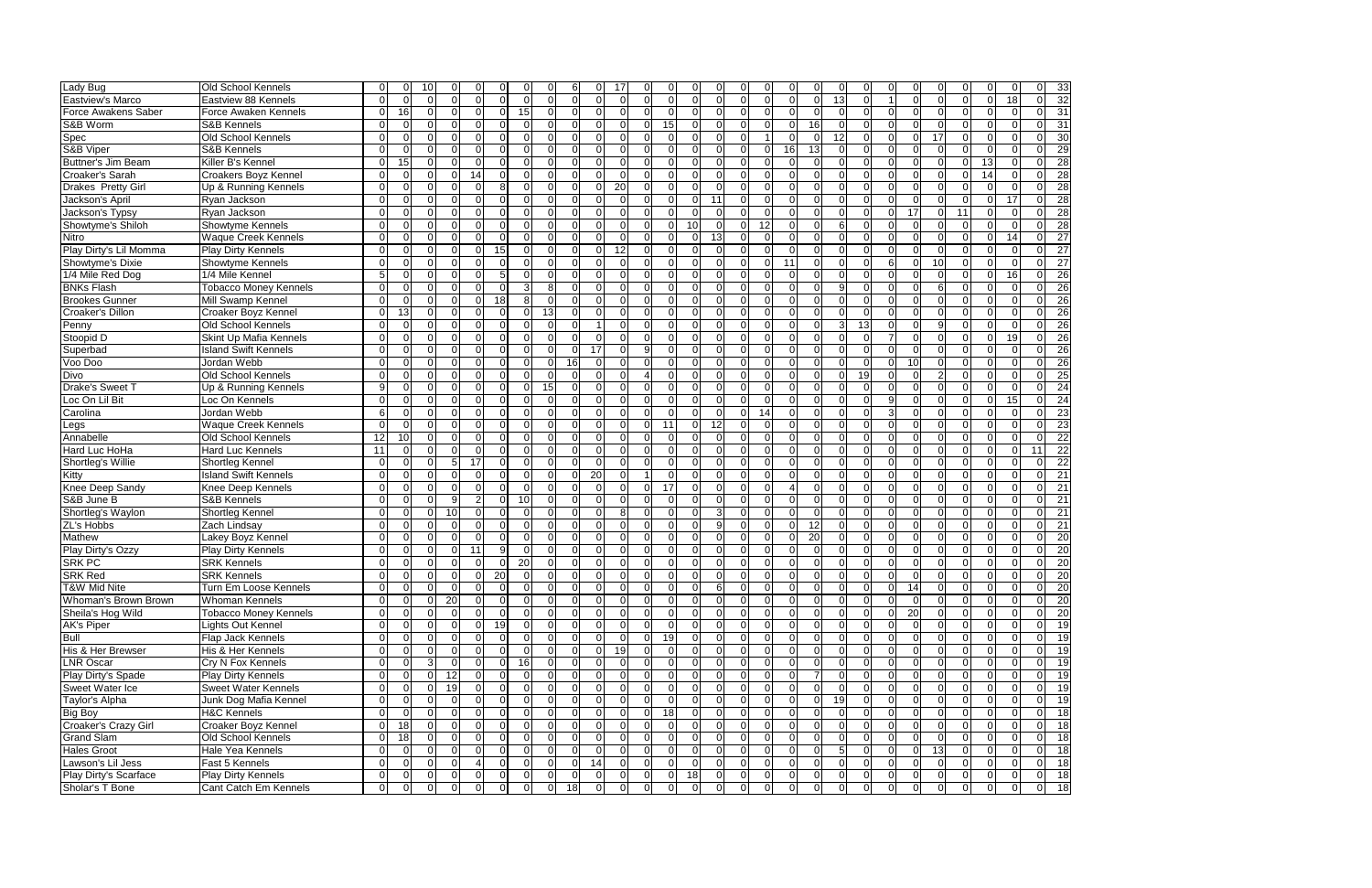| Lady Bug                             | Old School Kennels                       | $\Omega$                         | $\Omega$                         | 10             |                      |                         |                                  |                                  |                            | 6                   |                     |                            |                            |                |                            |                |                            |                      |                                  |                               | 0                                |                                  |                                  |                 |                            |                | $\Omega$                         | $\Omega$                      |
|--------------------------------------|------------------------------------------|----------------------------------|----------------------------------|----------------|----------------------|-------------------------|----------------------------------|----------------------------------|----------------------------|---------------------|---------------------|----------------------------|----------------------------|----------------|----------------------------|----------------|----------------------------|----------------------|----------------------------------|-------------------------------|----------------------------------|----------------------------------|----------------------------------|-----------------|----------------------------|----------------|----------------------------------|-------------------------------|
| <b>Eastview's Marco</b>              | Eastview 88 Kennels                      | $\Omega$                         | $\Omega$                         | $\Omega$       | $\Omega$             | $\Omega$                | $\Omega$                         | $\Omega$                         | $\Omega$                   | $\Omega$            | $\Omega$            | U                          |                            | $\Omega$       | $\Omega$                   | $\Omega$       | $\Omega$                   | $\Omega$             | $\Omega$                         | $\Omega$                      | 13                               | $\Omega$                         |                                  |                 | $\Omega$                   | $\Omega$       | $\Omega$                         | 18                            |
| Force Awakens Saber                  | Force Awaken Kennels                     | $\Omega$                         | 16                               | $\Omega$       | $\Omega$             | $\Omega$                | $\Omega$                         | 15                               | $\Omega$                   | $\Omega$            | $\Omega$            | $\Omega$                   |                            | $\Omega$       | $\Omega$                   | $\Omega$       | $\Omega$                   | $\Omega$             | $\Omega$                         | $\Omega$                      | $\Omega$                         | $\Omega$                         | $\Omega$                         |                 | $\Omega$                   | $\Omega$       | $\Omega$                         | $\Omega$                      |
| S&B Worm                             | S&B Kennels                              | $\Omega$                         | $\overline{0}$                   | U              |                      | $\Omega$                | $\Omega$                         | $\Omega$                         | $\Omega$                   | $\Omega$            | $\Omega$            | O                          |                            | 15             | $\Omega$                   | $\Omega$       | $\Omega$                   | $\Omega$             | $\Omega$                         | 16                            | $\overline{0}$                   |                                  | $\Omega$                         |                 | $\Omega$                   | $\Omega$       | $\Omega$                         | $\Omega$                      |
| Spec                                 | Old School Kennels                       | $\Omega$                         | $\Omega$                         | ΩI             | $\Omega$             | $\Omega$                | $\mathbf 0$                      | $\Omega$                         | $\Omega$                   | $\Omega$            | $\Omega$            | $\Omega$                   |                            | $\Omega$       | 0                          | $\Omega$       | $\Omega$                   |                      | $\Omega$                         | 0                             | 12                               | $\Omega$                         | $\Omega$                         | $\Omega$        | 17                         | $\Omega$       | $\mathbf 0$                      | $\Omega$                      |
| S&B Viper                            | S&B Kennels                              | $\Omega$                         | $\Omega$                         | $\Omega$       | $\Omega$             | $\Omega$                | $\Omega$                         | $\Omega$                         | $\Omega$                   | $\Omega$            | $\Omega$            | $\Omega$                   | $\Omega$                   | $\Omega$       | $\Omega$                   | $\overline{0}$ | $\Omega$                   | $\Omega$             | 16                               | 13                            | $\overline{0}$                   | $\Omega$                         | $\Omega$                         | $\Omega$        | $\Omega$                   | $\Omega$       | $\Omega$                         | $\Omega$                      |
| Buttner's Jim Beam                   | Killer B's Kennel                        | $\Omega$                         | 15                               | $\Omega$       | $\Omega$             | $\Omega$                | $\Omega$                         | $\Omega$                         | $\Omega$                   | $\Omega$            | $\Omega$            | $\Omega$                   | $\Omega$                   | $\Omega$       | $\Omega$                   | $\Omega$       | $\Omega$                   | $\Omega$             | $\Omega$                         | $\Omega$                      | $\overline{0}$                   | $\Omega$                         | $\Omega$                         | $\Omega$        | $\Omega$                   | $\Omega$       | 13                               | $\Omega$                      |
| Croaker's Sarah                      | Croakers Boyz Kennel                     | $\Omega$                         | $\overline{0}$                   | ΩI             | <sup>0</sup>         | 14                      | $\Omega$                         | $\Omega$                         | $\Omega$                   | $\Omega$            | $\Omega$            | $\Omega$                   |                            | $\Omega$       | O                          | $\Omega$       | $\Omega$                   | $\Omega$             | $\Omega$                         | $\Omega$                      | $\Omega$                         | 0                                | $\Omega$                         |                 | $\Omega$                   | $\Omega$       | 14                               | $\Omega$                      |
| Drakes Pretty Girl                   | Up & Running Kennels                     | $\Omega$                         | $\Omega$                         | ΩI             |                      | $\Omega$                | 8                                | $\Omega$                         | $\Omega$                   | $\Omega$            | $\Omega$            | 20                         |                            | $\Omega$       | $\Omega$                   | U              |                            | $\Omega$             | $\Omega$                         | $\Omega$                      | $\Omega$                         |                                  | $\Omega$                         |                 |                            | -C             | $\Omega$                         | $\Omega$                      |
| Jackson's April                      | Ryan Jackson                             | $\Omega$                         | $\Omega$                         | ΩI             | $\Omega$             | $\Omega$                | $\Omega$                         | $\Omega$                         | $\Omega$                   | $\Omega$            | $\Omega$            | $\Omega$                   |                            | $\Omega$       | $\Omega$                   | 11             | $\Omega$                   | $\Omega$             | $\Omega$                         | $\Omega$                      | $\Omega$                         | $\Omega$                         | $\Omega$                         |                 | $\Omega$                   | $\Omega$       | $\Omega$                         | 17                            |
| Jackson's Typsy                      | Ryan Jackson                             | $\Omega$                         | $\Omega$                         | $\Omega$       | $\Omega$             | $\Omega$                | $\Omega$                         | $\Omega$                         | $\Omega$                   | $\Omega$            | $\Omega$            | $\Omega$                   |                            | $\Omega$       |                            | $\Omega$       |                            | $\Omega$             | $\Omega$                         | $\Omega$                      | $\Omega$                         |                                  | $\Omega$                         | 17              | ∩                          | 11             | $\Omega$                         | $\Omega$                      |
| Showtyme's Shiloh                    | Showtyme Kennels                         | $\Omega$                         | $\Omega$                         | U              | $\Omega$             | $\Omega$                | $\overline{0}$                   | $\Omega$                         | $\Omega$                   | $\Omega$            | $\Omega$            | O                          |                            | $\Omega$       | 10                         | $\Omega$       | $\Omega$                   | 12                   | $\Omega$                         | $\Omega$                      | 6                                |                                  | $\Omega$                         | $\Omega$        | $\Omega$                   | C              | $\Omega$                         | $\Omega$                      |
| <b>Nitro</b>                         | <b>Waque Creek Kennels</b>               | $\Omega$                         | $\Omega$                         | $\Omega$       | $\Omega$             | $\Omega$                | $\mathbf 0$                      | $\Omega$                         | $\Omega$                   | $\Omega$            | $\Omega$            | $\Omega$                   | $\Omega$                   | $\Omega$       | $\Omega$                   | 13             | $\Omega$                   | $\Omega$             | $\Omega$                         | $\Omega$                      | $\Omega$                         | $\Omega$                         | $\Omega$                         | $\Omega$        | $\Omega$                   | $\Omega$       | $\Omega$                         | 14                            |
| Play Dirty's Lil Momma               | <b>Play Dirty Kennels</b>                | $\Omega$                         | $\Omega$                         | $\Omega$       | $\Omega$             | $\Omega$                | 15                               | $\Omega$                         | $\Omega$                   | $\Omega$            | 0                   | 12                         |                            | $\Omega$       | $\Omega$                   | $\Omega$       | $\Omega$                   | $\Omega$             | $\Omega$                         | $\Omega$                      | $\Omega$                         | $\Omega$                         | $\Omega$                         |                 | $\Omega$                   | $\Omega$       | $\mathbf 0$                      | $\Omega$                      |
| Showtyme's Dixie                     | Showtyme Kennels                         | $\Omega$                         | $\Omega$                         | ΩI             | $\Omega$             | $\Omega$                | $\Omega$                         | $\Omega$                         | $\Omega$                   | $\Omega$            | $\Omega$            | $\Omega$                   |                            | $\Omega$       | $\Omega$                   | $\Omega$       | $\Omega$                   | $\Omega$             | 11                               | $\Omega$                      | $\Omega$                         | $\Omega$                         | 6                                |                 | 10                         | $\Omega$       | $\Omega$                         | $\Omega$                      |
| 1/4 Mile Red Dog                     | 1/4 Mile Kennel                          | 5                                | $\Omega$                         | ΩI             | <sup>n</sup>         | $\Omega$                | 5                                | $\Omega$                         | $\Omega$                   | $\Omega$            | $\Omega$            | U                          |                            |                | ∩                          | $\Omega$       | n                          | $\Omega$             | $\Omega$                         | $\Omega$                      | $\Omega$                         |                                  | $\Omega$                         |                 | ∩                          | $\Omega$       | $\Omega$                         | 16                            |
| <b>BNKs Flash</b>                    | Tobacco Money Kennels                    | $\Omega$                         | $\Omega$                         | $\Omega$       | $\Omega$             | $\Omega$                | $\Omega$                         | 3 <sup>l</sup>                   | 8                          | $\Omega$            | $\Omega$            | $\Omega$                   |                            | $\Omega$       | $\Omega$                   | $\Omega$       | $\Omega$                   | $\Omega$             | $\Omega$                         | $\Omega$                      | 9 <sub>l</sub>                   | $\Omega$                         | $\Omega$                         |                 | 6                          | $\Omega$       | $\Omega$                         | $\Omega$                      |
| <b>Brookes Gunner</b>                | Mill Swamp Kennel                        | $\Omega$                         | $\overline{0}$                   | $\Omega$       | $\Omega$             | $\Omega$                | $\frac{1}{8}$                    | 8 <sup>1</sup>                   | $\Omega$                   | $\overline{0}$      | $\Omega$            | 0                          | $\Omega$                   | $\Omega$       | 0                          | 0              | $\Omega$                   | $\Omega$             | $\overline{0}$                   | $\Omega$                      | $\overline{0}$                   | $\Omega$                         | $\Omega$                         | $\Omega$        | $\Omega$                   | $\Omega$       | $\mathbf 0$                      | $\Omega$                      |
| Croaker's Dillon                     | Croaker Boyz Kennel                      | $\Omega$                         | 13                               | ΩI             | $\Omega$             | $\Omega$                | $\Omega$                         | $\Omega$                         | $\overline{13}$            | $\Omega$            | $\Omega$            | $\Omega$                   |                            | $\Omega$       | 0                          | $\Omega$       | $\Omega$                   | $\Omega$             | $\Omega$                         | $\Omega$                      | $\Omega$                         |                                  | $\Omega$                         | $\Omega$        | $\Omega$                   | -C             | $\mathbf 0$                      | $\Omega$                      |
| Penny                                | Old School Kennels                       | $\Omega$                         | $\Omega$                         | $\Omega$       | $\Omega$             | $\Omega$                | $\Omega$                         | $\Omega$                         | $\Omega$                   | $\Omega$            |                     | $\Omega$                   |                            | $\Omega$       | $\Omega$                   | $\Omega$       | ∩                          | $\Omega$             | $\Omega$                         | $\Omega$                      | 3                                | 13                               | $\Omega$                         | $\Omega$        | 9                          | $\Omega$       | $\Omega$                         | $\Omega$                      |
| Stoopid D                            | <b>Skint Up Mafia Kennels</b>            | $\Omega$                         | $\Omega$                         | $\Omega$       | $\Omega$             | $\Omega$                | $\Omega$                         | $\Omega$                         | $\Omega$                   | $\Omega$            | $\Omega$            | $\Omega$                   | $\Omega$                   | $\Omega$       | $\Omega$                   | $\Omega$       | $\Omega$                   | $\Omega$             | $\Omega$                         | $\Omega$                      | $\Omega$                         | $\Omega$                         | 7                                | $\Omega$        | $\Omega$                   | $\Omega$       | $\Omega$                         | 19                            |
| Superbad                             | <b>Island Swift Kennels</b>              | $\Omega$                         | $\Omega$                         | $\Omega$       | $\Omega$             | $\Omega$                | $\Omega$                         | $\Omega$                         | $\Omega$                   | $\Omega$            | 17                  | $\Omega$                   |                            | $\Omega$       |                            | U              | $\Omega$                   | $\Omega$             | $\Omega$                         | $\Omega$                      | $\Omega$                         | U                                | ΩI                               |                 | $\Omega$                   | $\Omega$       | $\Omega$                         | $\Omega$                      |
| Voo Doo                              | Jordan Webb                              | $\Omega$                         | $\Omega$                         | ΩI             | $\Omega$             | $\Omega$                | $\Omega$                         | $\Omega$                         | ΩI                         | 16                  | $\Omega$            | $\Omega$                   |                            | $\Omega$       | $\Omega$                   | $\Omega$       | $\Omega$                   | $\Omega$             | $\Omega$                         | $\Omega$                      | $\Omega$                         | n                                | $\Omega$                         | 10              | $\Omega$                   | $\Omega$       | $\Omega$                         | $\Omega$                      |
| Divo                                 | Old School Kennels                       | $\Omega$                         | $\Omega$                         | ΩI             | $\Omega$             | $\Omega$                | $\Omega$                         | $\Omega$                         | <sup>n</sup>               | $\Omega$            | $\Omega$            | $\Omega$                   |                            | $\Omega$       | $\Omega$                   | $\Omega$       | $\Omega$                   | $\Omega$             | $\Omega$                         | $\Omega$                      | $\Omega$                         | 19                               | $\Omega$                         |                 |                            | $\Omega$       | $\Omega$                         | $\Omega$                      |
| Drake's Sweet T                      | Up & Running Kennels                     | 9                                | $\Omega$                         | U              | $\Omega$             | $\Omega$                | $\overline{0}$                   | $\Omega$                         | 15                         | $\Omega$            | $\Omega$            | 0                          |                            | - 0            | $\Omega$                   | $\Omega$       | $\Omega$                   | $\Omega$             | $\Omega$                         | $\Omega$                      | $\overline{0}$                   |                                  | $\Omega$                         |                 | ∩                          | $\Omega$       | $\Omega$                         | $\Omega$                      |
| Loc On Lil Bit                       | Loc On Kennels                           | $\Omega$                         | $\Omega$                         | U              | $\Omega$             | $\Omega$                | $\Omega$                         | $\Omega$                         | $\Omega$                   | $\Omega$            | $\Omega$            | O                          |                            | $\Omega$       | $\Omega$                   | $\Omega$       | $\Omega$                   | $\Omega$             | $\Omega$                         | $\Omega$                      | $\Omega$                         | U                                | 9                                | $\Omega$        | $\Omega$                   | $\Omega$       | $\Omega$                         | 15                            |
| Carolina                             | Jordan Webb                              | 6                                | $\Omega$                         | $\Omega$       | $\Omega$             | $\Omega$                | $\Omega$                         | $\Omega$                         | $\Omega$                   | $\Omega$            | $\Omega$            | U                          |                            | $\Omega$       | $\Omega$                   | $\Omega$       | $\Omega$                   | 14                   | $\Omega$                         | $\Omega$                      | $\Omega$                         | ∩                                | $\mathbf{3}$                     |                 | $\Omega$                   | $\Omega$       | $\Omega$                         | $\Omega$                      |
| Legs                                 | <b>Waque Creek Kennels</b>               | $\Omega$                         | $\Omega$                         | $\Omega$       | $\Omega$             | $\Omega$                | $\Omega$                         | $\Omega$                         | $\Omega$                   | $\Omega$            | $\Omega$            | $\Omega$                   | $\Omega$                   | 11             | $\mathbf 0$                | 12             | $\Omega$                   | $\Omega$             | $\Omega$                         | $\Omega$                      | $\Omega$                         | $\Omega$                         | $\Omega$                         | $\Omega$        | $\Omega$                   | $\Omega$       | $\Omega$                         | $\Omega$                      |
| Annabelle                            | Old School Kennels                       | 12                               | 10 <sup>1</sup>                  | ΩI             | $\Omega$             | $\Omega$                | $\Omega$                         | $\Omega$                         | $\Omega$                   | $\Omega$            | $\Omega$            | $\Omega$                   |                            | $\Omega$       |                            | O              |                            | $\Omega$             | $\Omega$                         | 0                             | $\Omega$                         | U                                | $\Omega$                         |                 | ∩                          | $\Omega$       | $\Omega$                         | $\Omega$                      |
| Hard Luc HoHa                        | <b>Hard Luc Kennels</b>                  | 11                               | $\overline{0}$                   | U              | $\Omega$             | $\Omega$                | $\Omega$                         | $\Omega$                         | $\Omega$                   | $\Omega$            | ∩                   | n                          |                            |                | ∩                          | O              | ∩                          | $\Omega$             | $\Omega$                         | $\Omega$                      | $\Omega$                         |                                  | $\Omega$                         |                 | $\Omega$                   | $\Omega$       | $\Omega$                         | $\Omega$                      |
| Shortleg's Willie                    | Shortleg Kennel                          | $\Omega$                         | $\Omega$                         | ΩI             |                      | 17                      | $\Omega$                         | $\Omega$                         | $\Omega$                   | $\Omega$            | $\Omega$            | $\Omega$                   |                            | $\Omega$       | $\Omega$                   | $\Omega$       | ∩                          | $\Omega$             | $\Omega$                         | $\Omega$                      | $\Omega$                         | $\Omega$                         | $\Omega$                         |                 | ∩                          | $\Omega$       | $\Omega$                         | $\Omega$                      |
| Kitty                                | <b>Island Swift Kennels</b>              | $\Omega$                         | $\Omega$                         | $\Omega$       | $\Omega$             | $\Omega$                | $\mathbf{0}$                     | $\Omega$                         | $\Omega$                   | $\Omega$            | $\overline{20}$     | 0                          |                            | $\Omega$       | $\Omega$                   | $\Omega$       | $\Omega$                   | $\Omega$             | $\Omega$                         | $\Omega$                      | $\overline{0}$                   | $\Omega$                         | $\Omega$                         | $\Omega$        | $\Omega$                   | $\Omega$       | $\Omega$                         | $\Omega$                      |
| Knee Deep Sandy                      | Knee Deep Kennels                        | $\overline{0}$                   | $\overline{0}$                   | $\Omega$       | $\Omega$             | $\Omega$                | $\mathbf 0$                      | $\Omega$                         | $\Omega$                   | $\Omega$            | $\Omega$            | $\Omega$                   |                            | 17             | $\Omega$                   | $\Omega$       | $\Omega$                   | $\Omega$             | $\overline{4}$                   | $\Omega$                      | $\overline{0}$                   | $\Omega$                         | $\Omega$                         | $\Omega$        | $\Omega$                   | $\Omega$       | $\Omega$                         | $\Omega$                      |
| S&B June B                           | S&B Kennels                              | $\Omega$                         | $\overline{0}$                   | $\Omega$       | 9                    | $\overline{2}$          | $\mathbf 0$                      | 10 <sup>1</sup>                  | $\Omega$                   | $\Omega$            | $\Omega$            | $\Omega$                   | $\Omega$                   | $\Omega$       | 0                          | $\Omega$       | $\Omega$                   | $\Omega$             | $\Omega$                         | 0                             | $\Omega$                         | $\Omega$                         | $\Omega$                         | $\Omega$        | $\Omega$                   | $\Omega$       | $\mathbf 0$                      | $\Omega$                      |
| Shortleg's Waylon                    |                                          | $\Omega$                         | $\overline{0}$                   | $\Omega$       | 10 <sup>1</sup>      | $\Omega$                | $\Omega$                         | $\Omega$                         | $\Omega$                   | $\Omega$            | $\Omega$            | 8                          | $\Omega$                   | $\Omega$       | $\Omega$                   | 3              | $\Omega$                   | $\Omega$             | $\Omega$                         | $\Omega$                      | $\overline{0}$                   | $\Omega$                         | $\Omega$                         | $\Omega$        | $\Omega$                   | $\Omega$       | $\Omega$                         | $\Omega$                      |
| <b>ZL's Hobbs</b>                    | <b>Shortleg Kennel</b><br>Zach Lindsay   | $\Omega$                         | $\Omega$                         | ΩI             | $\Omega$             | $\Omega$                | $\Omega$                         | $\Omega$                         | $\Omega$                   | $\Omega$            | $\Omega$            | $\Omega$                   |                            | $\Omega$       |                            | 9              | $\Omega$                   | $\Omega$             | $\Omega$                         | 12                            | $\Omega$                         | 0                                | $\Omega$                         |                 | $\Omega$                   | $\Omega$       | $\Omega$                         | $\Omega$                      |
| Mathew                               | Lakey Boyz Kennel                        | $\Omega$                         | $\Omega$                         | U              | $\Omega$             | $\Omega$                | $\Omega$                         | $\Omega$                         | $\Omega$                   | $\Omega$            | $\Omega$            | $\Omega$                   |                            | $\Omega$       | $\Omega$                   | $\Omega$       | $\Omega$                   | $\Omega$             | $\Omega$                         | 20                            | $\Omega$                         | n                                | $\Omega$                         |                 | $\Omega$                   | $\Omega$       | $\Omega$                         | $\Omega$                      |
| Play Dirty's Ozzy                    |                                          | $\Omega$                         | $\Omega$                         |                | <sup>n</sup>         | 11                      | 9                                | $\Omega$                         |                            | $\Omega$            |                     | O                          |                            | $\Omega$       | ∩                          | $\Omega$       |                            | $\Omega$             | $\Omega$                         | $\Omega$                      | $\Omega$                         | n                                | $\Omega$                         |                 | ∩                          | ∩              | $\Omega$                         | $\Omega$                      |
| <b>SRK PC</b>                        | Play Dirty Kennels<br><b>SRK Kennels</b> | $\Omega$                         | $\mathbf{0}$                     | ΩI             | $\Omega$             | $\Omega$                | $\mathbf 0$                      | $\overline{20}$                  | $\Omega$                   | $\Omega$            |                     | 0                          |                            | $\Omega$       |                            |                | $\Omega$                   | $\Omega$             | $\Omega$                         | 0                             | $\overline{0}$                   |                                  | $\overline{0}$                   |                 | $\Omega$                   | $\Omega$       | $\mathbf 0$                      |                               |
| <b>SRK Red</b>                       | <b>SRK Kennels</b>                       | $\Omega$                         | $\overline{0}$                   | 01             | $\Omega$             | $\Omega$                | 20                               | $\overline{0}$                   | $\Omega$                   | $\Omega$            | 0<br>$\Omega$       | 0                          | $\Omega$                   | $\Omega$       | 0<br>0                     | 0<br>0         | $\Omega$                   | $\Omega$             | $\overline{0}$                   | 0                             | $\overline{0}$                   | 0                                | $\overline{0}$                   | $\Omega$        | $\Omega$                   | $\Omega$       | 0                                |                               |
|                                      |                                          |                                  |                                  |                |                      |                         |                                  |                                  |                            |                     |                     |                            |                            |                |                            |                |                            |                      |                                  |                               |                                  |                                  |                                  |                 |                            |                |                                  |                               |
| T&W Mid Nite<br>Whoman's Brown Brown | Turn Em Loose Kennels                    | $\overline{0}$<br>$\overline{0}$ | $\overline{0}$<br>$\overline{0}$ | ΟI<br>$\Omega$ | $\overline{0}$<br>20 | $\mathbf 0$<br>$\Omega$ | $\overline{0}$<br>$\overline{0}$ | $\overline{0}$<br>$\overline{0}$ | $\overline{0}$<br>$\Omega$ | 0<br>$\overline{0}$ | 0<br>$\overline{0}$ | $\overline{0}$<br>$\Omega$ | $\overline{0}$<br>$\Omega$ | 0<br>$\Omega$  | $\overline{0}$<br>$\Omega$ | 6<br>$\Omega$  | $\overline{0}$<br>$\Omega$ | 01<br>$\overline{0}$ | $\overline{0}$<br>$\overline{0}$ | $\mathbf 0$<br>$\overline{0}$ | $\overline{0}$<br>$\overline{0}$ | $\overline{0}$<br>$\overline{0}$ | $\overline{0}$<br>$\overline{0}$ | 14<br>$\Omega$  | $\overline{0}$<br>$\Omega$ | 0<br>$\Omega$  | $\overline{0}$<br>$\overline{0}$ | $\mathbf 0$<br>$\overline{0}$ |
|                                      | <b>Whoman Kennels</b>                    |                                  |                                  | $\Omega$       |                      |                         |                                  |                                  |                            |                     |                     |                            | $\Omega$                   |                |                            |                | $\overline{0}$             |                      |                                  |                               |                                  | $\overline{0}$                   | $\overline{0}$                   |                 |                            |                |                                  |                               |
| Sheila's Hog Wild                    | <b>Tobacco Money Kennels</b>             | $\overline{0}$                   | 0                                |                | $\overline{0}$       | $\overline{0}$          | $\overline{0}$                   | $\overline{0}$                   | $\overline{0}$             | $\overline{0}$      | $\overline{0}$      | $\overline{0}$             |                            | $\overline{0}$ | $\overline{0}$             | $\overline{0}$ |                            | $\overline{0}$       | 0                                | $\overline{0}$                | $\overline{0}$                   |                                  |                                  | $\overline{20}$ | $\Omega$                   | $\Omega$       | $\overline{0}$                   | 0                             |
| AK's Piper                           | Lights Out Kennel                        | $\overline{0}$                   | $\overline{0}$                   | ΩI             | $\Omega$             | $\Omega$                | 19                               | $\overline{0}$                   | $\overline{0}$             | $\overline{0}$      | 0                   | $\overline{0}$             | $\Omega$                   | $\Omega$       | 0                          | $\overline{0}$ | $\overline{0}$             | $\overline{0}$       | $\overline{0}$                   | $\overline{0}$                | $\overline{0}$                   | $\overline{0}$                   | $\Omega$                         | $\Omega$        | $\Omega$                   | $\Omega$       | $\mathbf 0$                      | $\mathbf 0$                   |
| Bull                                 | Flap Jack Kennels                        | $\overline{0}$                   | $\overline{0}$                   | $\Omega$       | $\Omega$             | $\Omega$                | $\overline{0}$                   | $\overline{0}$                   | $\Omega$                   | 0                   | $\Omega$            | $\Omega$                   |                            | 19             | $\overline{0}$             | 0              | $\Omega$                   | $\overline{0}$       | $\overline{0}$                   | $\overline{0}$                | 0                                | 01                               | ΟI                               |                 | $\Omega$                   | $\Omega$       | $\mathbf 0$                      | $\Omega$                      |
| His & Her Brewser                    | His & Her Kennels                        | $\overline{0}$                   | $\overline{0}$                   | ΩI             | $\Omega$             | $\Omega$                | $\overline{0}$                   | $\Omega$                         | $\Omega$                   | $\Omega$            | $\Omega$            | 19                         | $\Omega$                   | $\Omega$       | 0                          | $\Omega$       | $\Omega$                   | $\Omega$             | $\overline{0}$                   | $\mathbf 0$                   | $\overline{0}$                   | $\Omega$                         | $\Omega$                         |                 | $\Omega$                   | $\Omega$       | $\overline{0}$                   | $\Omega$                      |
| <b>LNR Oscar</b>                     | Cry N Fox Kennels                        | $\overline{0}$                   | $\overline{0}$                   | 31             | $\Omega$             | $\Omega$                | $\overline{0}$                   | 16                               | $\overline{0}$             | 0                   | 0                   | $\Omega$                   |                            | $\Omega$       | $\Omega$                   | $\Omega$       | $\Omega$                   | $\Omega$             | $\overline{0}$                   | $\overline{0}$                | $\overline{0}$                   |                                  | $\overline{0}$                   |                 | $\Omega$                   | $\Omega$       | $\mathbf 0$                      |                               |
| Play Dirty's Spade                   | <b>Play Dirty Kennels</b>                | $\overline{0}$                   | $\overline{0}$                   | ΩI             | 12                   | $\overline{0}$          | $\mathbf 0$                      | $\Omega$                         | $\overline{0}$             | $\mathbf 0$         | 0                   | $\Omega$                   | $\Omega$                   | $\Omega$       | $\mathbf 0$                | $\Omega$       | $\Omega$                   | $\overline{0}$       | $\overline{0}$                   |                               | $\overline{0}$                   |                                  | $\Omega$                         | $\Omega$        | $\Omega$                   | $\Omega$       | $\mathbf 0$                      | $\mathbf 0$                   |
| <b>Sweet Water Ice</b>               | <b>Sweet Water Kennels</b>               | $\overline{0}$                   | $\overline{0}$                   | $\Omega$       | 19                   | $\overline{0}$          | $\overline{0}$                   | $\overline{0}$                   | $\Omega$                   | $\overline{0}$      | $\overline{0}$      | $\overline{0}$             | $\Omega$                   | $\Omega$       | $\Omega$                   | 0              | $\Omega$                   | $\Omega$             | $\overline{0}$                   | $\overline{0}$                | $\overline{0}$                   | $\Omega$                         | $\Omega$                         | $\Omega$        | $\Omega$                   | $\Omega$       | $\mathbf 0$                      | $\mathbf 0$                   |
| Taylor's Alpha                       | Junk Dog Mafia Kennel                    | $\overline{0}$                   | $\overline{0}$                   | $\overline{0}$ | $\overline{0}$       | $\overline{0}$          | $\overline{0}$                   | $\overline{0}$                   | $\overline{0}$             | $\overline{0}$      | $\overline{0}$      | $\overline{0}$             | $\Omega$                   | $\Omega$       | $\mathbf 0$                | $\overline{0}$ | $\Omega$                   | $\overline{0}$       | $\overline{0}$                   | $\overline{0}$                | 19                               | $\Omega$                         | $\overline{0}$                   | $\Omega$        | $\Omega$                   | $\Omega$       | $\overline{0}$                   | $\mathbf 0$                   |
| <b>Big Boy</b>                       | <b>H&amp;C Kennels</b>                   | $\overline{0}$                   | $\overline{0}$                   | ΟI             | $\overline{0}$       | $\overline{0}$          | $\overline{0}$                   | $\overline{0}$                   | $\overline{0}$             | $\overline{0}$      | $\overline{0}$      | 0                          | $\Omega$                   | 18             | $\Omega$                   | 0              | $\Omega$                   | $\overline{0}$       | $\overline{0}$                   | $\Omega$                      | $\overline{0}$                   | $\overline{0}$                   | $\overline{0}$                   | $\Omega$        | $\Omega$                   | $\Omega$       | $\mathbf 0$                      | 0                             |
| Croaker's Crazy Girl                 | Croaker Boyz Kennel                      | $\overline{0}$                   | 18                               | ΩI             | $\Omega$             | $\Omega$                | $\overline{0}$                   | $\overline{0}$                   | $\Omega$                   | 0                   | $\Omega$            | $\Omega$                   |                            | $\Omega$       | $\Omega$                   | $\Omega$       | $\Omega$                   | $\Omega$             | $\overline{0}$                   | $\overline{0}$                | $\overline{0}$                   |                                  | ΟI                               |                 | $\Omega$                   | $\Omega$       | $\mathbf 0$                      | 0                             |
| <b>Grand Slam</b>                    | Old School Kennels                       | $\overline{0}$                   | 18                               | $\Omega$       | $\Omega$             | $\Omega$                | $\overline{0}$                   | $\overline{0}$                   | $\Omega$                   | $\overline{0}$      | $\overline{0}$      | $\Omega$                   | $\Omega$                   | $\Omega$       | $\overline{0}$             | $\overline{0}$ | $\Omega$                   | $\Omega$             | $\overline{0}$                   | $\overline{0}$                | $\overline{0}$                   | 01                               | $\Omega$                         | $\Omega$        | . OI                       | $\Omega$       | $\overline{0}$                   | $\Omega$                      |
| <b>Hales Groot</b>                   | Hale Yea Kennels                         | $\overline{0}$                   | $\overline{0}$                   | $\Omega$       | $\Omega$             | $\overline{0}$          | $\overline{0}$                   | $\overline{0}$                   | $\overline{0}$             | $\overline{0}$      | 0                   | 0                          |                            | $\overline{0}$ | 0                          | $\overline{0}$ | $\Omega$                   | $\overline{0}$       | $\overline{0}$                   | $\mathbf 0$                   | 5 <sub>l</sub>                   | 0                                | $\overline{0}$                   |                 | 13                         | $\Omega$       | $\overline{0}$                   | $\overline{0}$                |
| Lawson's Lil Jess                    | Fast 5 Kennels                           | $\overline{0}$                   | $\overline{0}$                   | $\Omega$       | $\overline{0}$       | $\overline{4}$          | $\mathbf 0$                      | $\overline{0}$                   | $\overline{0}$             | $\mathbf 0$         | 14                  | $\overline{0}$             | $\Omega$                   | $\mathbf 0$    | $\overline{0}$             | $\overline{0}$ | $\overline{0}$             | $\overline{0}$       | $\overline{0}$                   | $\overline{0}$                | $\overline{0}$                   | $\Omega$                         | $\Omega$                         | $\Omega$        | $\Omega$                   | $\Omega$       | $\overline{0}$                   | $\mathbf 0$                   |
| Play Dirty's Scarface                | Play Dirty Kennels                       | $\overline{0}$                   | $\overline{0}$                   | $\overline{0}$ | $\overline{0}$       | $\mathbf 0$             | $\overline{0}$                   | $\overline{0}$                   | $\overline{0}$             | $\overline{0}$      | $\overline{0}$      | $\overline{0}$             | $\Omega$                   | $\overline{0}$ | 18                         | $\overline{0}$ | $\overline{0}$             | $\overline{0}$       | $\overline{0}$                   | $\overline{0}$                | $\overline{0}$                   | $\overline{0}$                   | $\overline{0}$                   | $\Omega$        | $\overline{0}$             | $\mathbf 0$    | $\overline{0}$                   | $\overline{0}$                |
| Sholar's T Bone                      | Cant Catch Em Kennels                    | $\overline{0}$                   | $\overline{0}$                   | $\overline{0}$ | $\overline{0}$       | $\overline{0}$          | $\overline{0}$                   | $\overline{0}$                   | $\overline{0}$             | 18                  | $\overline{0}$      | $\overline{0}$             | $\overline{0}$             | $\overline{0}$ | $\overline{0}$             | $\overline{0}$ | $\overline{0}$             | $\Omega$             | $\overline{0}$                   | $\overline{0}$                | $\overline{0}$                   | $\overline{0}$                   | $\overline{0}$                   | $\overline{0}$  | $\overline{0}$             | $\overline{0}$ | $\overline{0}$                   | $\overline{0}$                |

| 0                   | 0                             | í<br>$\overline{\mathbf{33}}$              |
|---------------------|-------------------------------|--------------------------------------------|
| 1<br>ξ<br>3         | 0                             | 32                                         |
| )<br>(              | 0                             | $\overline{\mathbf{3}}$                    |
| 0                   | 0                             | $\overline{31}$                            |
|                     |                               | $\overline{\phantom{a}}$                   |
| (<br>)              | (<br>້)                       | $\overline{\mathrm{30}}$                   |
| 0                   | 0                             | 2<br>×<br>ϡ                                |
| $\overline{0}$      | $\overline{0}$                | $\overline{28}$                            |
| 0                   | 0                             | $\overline{\mathbf{z}}$<br>3               |
| 0                   | 0                             | 28                                         |
| 1<br>7              | 0                             | $\overline{\phantom{a}}$<br>28<br>3        |
| $\overline{0}$      | 0                             | $\overline{28}$                            |
| 0                   | 0                             | í<br>$\overline{28}$                       |
| 1<br>4              | $\mathbf{C}$<br>(             | 27                                         |
| 0                   | J<br>C                        | 27                                         |
| 0                   | 0                             | $\overline{7}$<br>ź                        |
| 1<br>k<br>;         | 0                             | $\overline{6}$                             |
| 0                   | 0                             | 26                                         |
|                     |                               |                                            |
| )<br>O              | 0                             | $\overline{6}$                             |
| O<br>)              | (<br>)                        | ֧֓֜<br>$\overline{6}$                      |
| (<br>)              | (<br>)                        | $\overline{26}$<br>ì                       |
| 1<br>ς<br>€         | $\overline{0}$                | $\overline{26}$<br>ć                       |
| $\overline{0}$      | $\overline{0}$                | $\overline{26}$                            |
| )<br>(              | 0                             | :<br>$^{26}$                               |
| 0                   | 0                             | $\overline{\phantom{a}}$<br>$\overline{5}$ |
| $\mathbf{)}$<br>O   | 0                             | $\overline{4}$                             |
| 5<br>1              | 0                             | $\overline{2}$                             |
| (<br>)              | (<br>)                        | $\overline{23}$                            |
| )<br>(              | 0                             | $\overline{23}$                            |
|                     | ō                             | $\overline{22}$                            |
|                     |                               |                                            |
| $\overline{0}$      |                               |                                            |
| 0                   | .<br>1<br>1                   | í<br>ž<br>,                                |
| $\overline{0}$      | $\overline{0}$                | 2<br>$\overline{\phantom{0}}$              |
| )<br>C              | 0                             | $\overline{21}$                            |
| 0                   | 0                             | $\overline{2}$ 1                           |
| (<br>)              | (<br>)                        | $\frac{1}{2}$                              |
| (<br>)              | (<br>)                        | $\overline{21}$                            |
| $\overline{0}$      | $\overline{0}$                | $\overline{2}$                             |
| (<br>)              | 0                             | ֧֓֜<br>$\overline{2}0$                     |
| (                   |                               |                                            |
| $\mathbf{I}$        | $\overline{0}$                | $\overline{0}$                             |
| (<br>)              | (<br>)                        | $\frac{1}{2}$<br>)                         |
| 0                   | 0                             | $\frac{1}{2}$                              |
| 0                   | 0                             | 20                                         |
| 0                   | 0                             | $\overline{20}$<br>)                       |
| 0                   | $\overline{0}$                | $\overline{2}0$                            |
| 0                   | 0                             | 19                                         |
| Ō                   | 0                             | 19                                         |
| 0                   | 0                             | $\mathbf{1}$<br>9                          |
| 0                   | 0                             | 1<br>9                                     |
| 0                   | 0                             | .<br>1<br>í<br>J                           |
| 0                   | 0                             | 1<br>9                                     |
| $\overline{0}$      | $\overline{0}$                | <sup>2</sup><br>9                          |
| 0                   | 0                             | 1<br>8                                     |
|                     | 0                             | 18                                         |
| 0<br>0              | 0                             | 8                                          |
|                     |                               | .<br>1                                     |
| 0                   | 0                             | ì<br>8                                     |
| 0                   | 0                             | 1<br>8                                     |
| $\overline{0}$<br>0 | $\mathfrak{z}$<br>(<br>)<br>( | 1<br>ξ<br>3<br>1<br>8                      |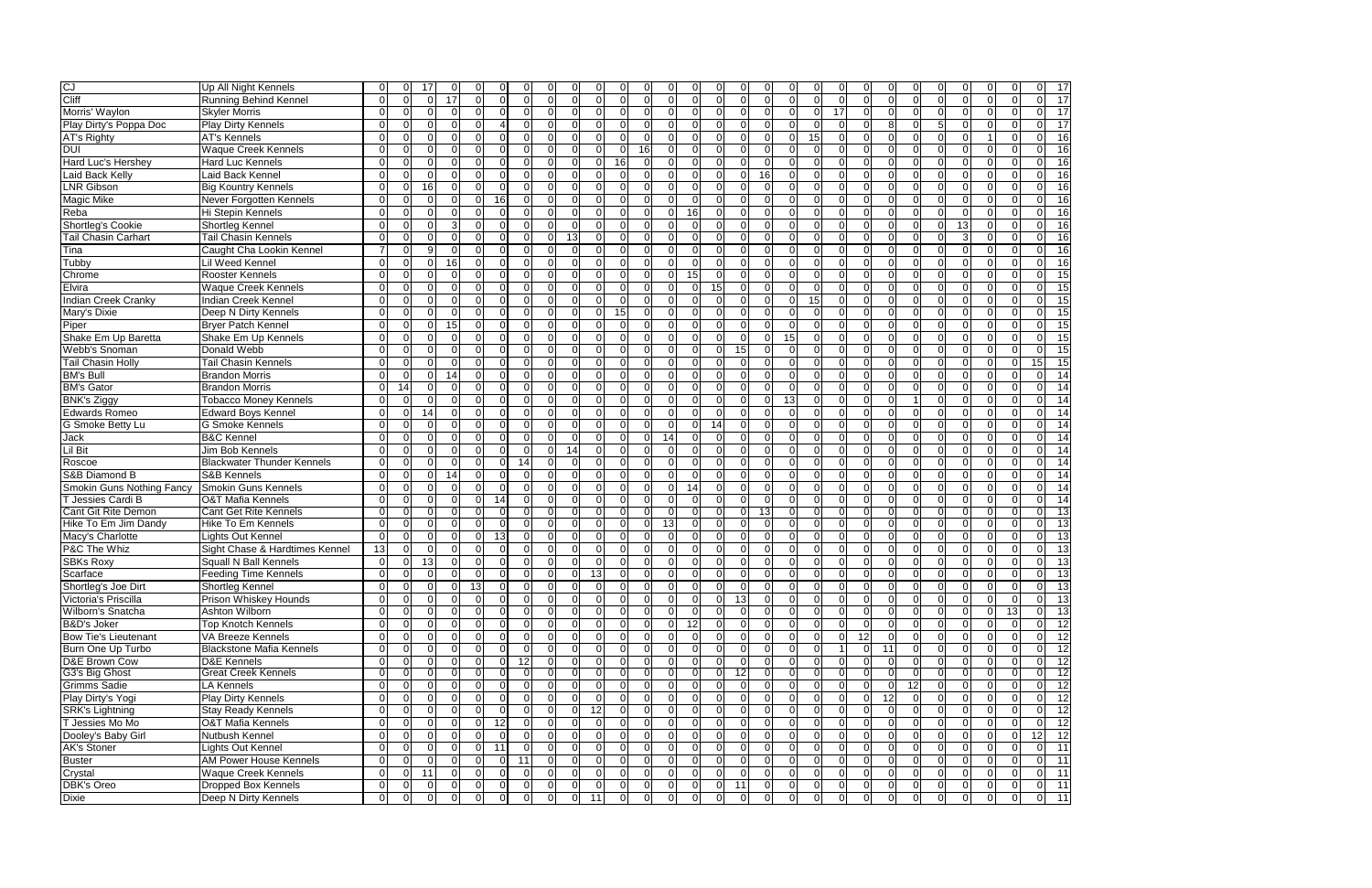|                                  | Up All Night Kennels              | $\Omega$        | 0              | 17             |                | ∩              | $\Omega$       | $\Omega$       | <sup>0</sup>   | $\Omega$       | $\Omega$       |                 |          |                         |                |                 |                | 0              |                | $\Omega$       |                |                |                |              | ∩            | $\Omega$             |                 |
|----------------------------------|-----------------------------------|-----------------|----------------|----------------|----------------|----------------|----------------|----------------|----------------|----------------|----------------|-----------------|----------|-------------------------|----------------|-----------------|----------------|----------------|----------------|----------------|----------------|----------------|----------------|--------------|--------------|----------------------|-----------------|
| CJ<br>Cliff                      | <b>Running Behind Kennel</b>      | $\Omega$        | $\Omega$       | $\Omega$       | 17             | $\Omega$       | $\Omega$       | $\Omega$       | $\Omega$       | $\Omega$       | $\Omega$       | ΩI              | $\Omega$ | $\Omega$<br>$\Omega$    | $\Omega$       | $\Omega$        | $\Omega$       | $\Omega$       | $\Omega$       | $\Omega$       | $\Omega$       | $\Omega$       | $\Omega$       | $\Omega$     | $\Omega$     | $\Omega$             | $\Omega$        |
| Morris' Waylon                   | <b>Skyler Morris</b>              | $\mathbf 0$     | $\Omega$       | $\Omega$       | $\Omega$       | $\Omega$       | $\overline{0}$ | $\Omega$       | $\Omega$       | $\Omega$       | $\overline{0}$ | 0               |          | $\Omega$<br>$\Omega$    | $\overline{0}$ | $\Omega$        | $\Omega$       | $\overline{0}$ | $\Omega$       | 17             | $\Omega$       | $\Omega$       | $\Omega$       | $\Omega$     | $\Omega$     | $\Omega$             | $\Omega$        |
| Play Dirty's Poppa Doc           | <b>Play Dirty Kennels</b>         | $\mathbf 0$     | $\Omega$       | U              | $\Omega$       | $\Omega$       | Δ              | $\Omega$       | $\Omega$       | $\Omega$       | $\Omega$       | 0               |          | $\Omega$<br>- 0         | $\Omega$       | $\Omega$        | $\Omega$       | $\Omega$       | $\Omega$       | $\Omega$       | $\Omega$       | 8 <sup>1</sup> | $\Omega$       |              | $\Omega$     | $\Omega$             | $\Omega$        |
| <b>AT's Righty</b>               | <b>AT's Kennels</b>               | $\Omega$        | $\Omega$       | $\Omega$       | $\Omega$       | $\Omega$       | $\Omega$       | $\Omega$       | $\Omega$       | $\Omega$       | $\Omega$       | ΩI              | ∩        | $\Omega$<br>$\Omega$    | $\Omega$       | $\Omega$        | $\Omega$       | $\Omega$       | 15             | $\Omega$       | $\Omega$       | $\Omega$       | $\Omega$       | $\Omega$     | $\Omega$     | $\blacktriangleleft$ | $\Omega$        |
| <b>DUI</b>                       | <b>Waque Creek Kennels</b>        | $\Omega$        | $\Omega$       | U              | $\Omega$       | $\Omega$       | $\Omega$       | $\Omega$       | $\Omega$       | $\Omega$       | $\Omega$       | 0               | 16       | $\Omega$                | $\Omega$       | U               | $\Omega$       | $\Omega$       | $\Omega$       | $\Omega$       | $\Omega$       | $\Omega$       |                | $\Omega$     | $\Omega$     | $\Omega$             |                 |
| Hard Luc's Hershey               | <b>Hard Luc Kennels</b>           | $\Omega$        | $\Omega$       | n              | $\Omega$       | $\Omega$       | $\Omega$       | $\Omega$       | $\Omega$       | $\Omega$       | $\Omega$       | 16 <sup>1</sup> |          | ſ                       | $\Omega$       | ∩               | ∩              | $\Omega$       | $\Omega$       | $\Omega$       |                | ΩI             |                | $\Omega$     | C            | $\Omega$             |                 |
| Laid Back Kelly                  | Laid Back Kennel                  | $\Omega$        | $\Omega$       |                | $\Omega$       | $\Omega$       | $\Omega$       | $\Omega$       | $\Omega$       | $\Omega$       | $\Omega$       | U               |          | ſ                       | $\Omega$       | $\Omega$        | 16             | $\Omega$       | $\Omega$       | $\Omega$       | n              | $\Omega$       |                |              | $\Omega$     | $\Omega$             | ∩               |
| <b>LNR Gibson</b>                | <b>Big Kountry Kennels</b>        | $\Omega$        | $\Omega$       | 16             | $\Omega$       | $\Omega$       | $\overline{0}$ | $\Omega$       | $\Omega$       | $\Omega$       | $\Omega$       | 01              |          | $\Omega$<br>0           | $\overline{0}$ | $\Omega$        | $\Omega$       | $\Omega$       | $\Omega$       | $\overline{0}$ | U              | $\Omega$       |                | $\Omega$     | $\Omega$     | $\mathbf 0$          |                 |
| Magic Mike                       | Never Forgotten Kennels           | $\Omega$        | $\Omega$       | $\Omega$       | $\Omega$       | $\Omega$       | 16             | $\Omega$       | $\Omega$       | $\Omega$       | $\Omega$       | 0               |          | $\Omega$<br>$\Omega$    | $\Omega$       | $\Omega$        | $\Omega$       | $\Omega$       | $\Omega$       | $\Omega$       | $\Omega$       | $\Omega$       |                | $\Omega$     | $\Omega$     | $\Omega$             |                 |
| Reba                             | Hi Stepin Kennels                 | $\Omega$        | $\Omega$       | $\Omega$       | $\Omega$       | $\Omega$       | $\overline{0}$ | $\Omega$       | $\Omega$       | $\Omega$       | $\Omega$       | $\Omega$        |          | 16<br>-0                | $\overline{0}$ | $\Omega$        | $\Omega$       | $\Omega$       | $\mathbf 0$    | $\Omega$       | $\Omega$       | $\Omega$       | $\Omega$       | ∩            | $\Omega$     | $\mathbf 0$          | $\Omega$        |
| Shortleg's Cookie                | Shortleg Kennel                   | $\Omega$        | $\Omega$       | $\Omega$       | 3              | $\Omega$       | $\mathbf 0$    | $\Omega$       | $\Omega$       | $\Omega$       | $\Omega$       | $\Omega$        |          | $\Omega$<br>$\Omega$    | $\Omega$       | $\Omega$        | $\Omega$       | $\Omega$       | $\Omega$       | $\Omega$       | $\Omega$       | $\Omega$       | $\Omega$       | $\Omega$     | 13           | $\Omega$             | $\Omega$        |
| <b>Tail Chasin Carhart</b>       | <b>Tail Chasin Kennels</b>        | $\Omega$        | $\Omega$       | U              | $\Omega$       | $\Omega$       | $\Omega$       | $\Omega$       | $\Omega$       | 13             | $\Omega$       | ΩI              |          | $\Omega$<br>$\Omega$    | $\Omega$       | $\Omega$        | $\Omega$       | $\Omega$       | $\Omega$       | $\Omega$       | U              | $\Omega$       | O              | ∩            | 3            | $\Omega$             |                 |
| Tina                             | Caught Cha Lookin Kennel          | $\overline{7}$  | $\Omega$       | g              | $\Omega$       | $\Omega$       | $\Omega$       | $\Omega$       | $\Omega$       | $\Omega$       | $\Omega$       | U               |          | ſ                       | $\Omega$       | ∩               | ∩              | $\Omega$       | $\Omega$       | $\Omega$       | U              | $\Omega$       |                | $\Omega$     | $\Omega$     | $\Omega$             | $\Omega$        |
| Tubby                            | Lil Weed Kennel                   | $\Omega$        | $\Omega$       | n              | 16             | $\Omega$       | $\Omega$       | $\Omega$       | $\Omega$       | $\Omega$       | $\Omega$       | n               |          | ſ                       | $\Omega$       | ∩               | $\Omega$       | $\Omega$       | $\Omega$       | $\Omega$       | n              | ΩI             |                | ∩            | $\Omega$     | $\Omega$             | $\Omega$        |
| Chrome                           | <b>Rooster Kennels</b>            | $\Omega$        | $\Omega$       | $\Omega$       | $\Omega$       | $\Omega$       | $\overline{0}$ | $\Omega$       | $\Omega$       | $\Omega$       | $\Omega$       | 0               |          | 15<br>$\Omega$          | $\Omega$       | $\Omega$        | $\Omega$       | $\Omega$       | $\Omega$       | $\Omega$       | $\Omega$       | $\Omega$       | $\Omega$       | $\Omega$     | $\Omega$     | $\Omega$             | $\Omega$        |
| Elvira                           | <b>Waque Creek Kennels</b>        | $\overline{0}$  | $\Omega$       | $\Omega$       | $\Omega$       | $\Omega$       | $\mathbf 0$    | $\Omega$       | $\Omega$       | $\mathbf 0$    | $\Omega$       | U               |          | $\Omega$<br>0           | 15             | O               | $\Omega$       | $\overline{0}$ | $\Omega$       | $\overline{0}$ | $\Omega$       | $\Omega$       |                | $\Omega$     | $\Omega$     | $\Omega$             | $\Omega$        |
| <b>Indian Creek Cranky</b>       | Indian Creek Kennel               | $\Omega$        | $\Omega$       | U              | $\Omega$       | $\Omega$       | $\mathbf 0$    | $\Omega$       | $\Omega$       | $\Omega$       | $\Omega$       | O               |          | $\sqrt{ }$              | $\Omega$       | $\Omega$        | $\Omega$       | $\Omega$       | 15             | $\overline{0}$ |                | $\Omega$       |                | $\Omega$     | $\Omega$     | $\mathbf 0$          | $\Omega$        |
| Mary's Dixie                     | Deep N Dirty Kennels              | $\Omega$        | $\Omega$       | $\Omega$       | $\Omega$       | $\Omega$       | $\mathbf 0$    | $\Omega$       | $\Omega$       | $\Omega$       | $\Omega$       | 15              | $\Omega$ | $\Omega$<br>$\mathbf 0$ | $\overline{0}$ | $\Omega$        | $\Omega$       | $\Omega$       | $\Omega$       | $\overline{0}$ | $\Omega$       | $\Omega$       | $\Omega$       | $\Omega$     | $\Omega$     | $\Omega$             | $\Omega$        |
| Piper                            | <b>Bryer Patch Kennel</b>         | $\Omega$        | $\Omega$       | ∩              | 15             | $\Omega$       | $\Omega$       | $\Omega$       | $\Omega$       | $\Omega$       | $\Omega$       | 0               |          | $\Omega$<br>$\Omega$    | $\Omega$       | $\Omega$        | $\Omega$       | $\Omega$       | $\Omega$       | $\Omega$       | $\Omega$       | $\Omega$       | $\Omega$       | $\Omega$     | $\Omega$     | $\Omega$             |                 |
| Shake Em Up Baretta              | Shake Em Up Kennels               | $\Omega$        | $\Omega$       | ∩              | $\Omega$       | $\Omega$       | $\Omega$       | $\Omega$       | $\Omega$       | $\Omega$       | $\Omega$       | U               |          | ſ                       | $\Omega$       | $\Omega$        | $\Omega$       | 15             | $\Omega$       | $\Omega$       | U              | $\Omega$       |                | $\Omega$     | $\Omega$     | $\Omega$             |                 |
| Webb's Snoman                    | Donald Webb                       | $\Omega$        | $\Omega$       | n              | $\Omega$       | $\Omega$       | $\Omega$       | $\Omega$       | $\Omega$       | $\Omega$       | $\Omega$       | U               |          | ſ<br>∩                  | $\Omega$       | 15              | $\Omega$       | $\Omega$       | $\Omega$       | $\Omega$       |                | $\Omega$       |                | ∩            | $\Omega$     | $\Omega$             | $\Omega$        |
| <b>Tail Chasin Holly</b>         | <b>Tail Chasin Kennels</b>        | $\Omega$        | $\Omega$       | ∩              | $\Omega$       | $\Omega$       | $\Omega$       | $\Omega$       | $\Omega$       | $\Omega$       | $\Omega$       | U               |          | $\Omega$<br>$\Omega$    | $\Omega$       | $\Omega$        | $\Omega$       | $\Omega$       | $\Omega$       | $\Omega$       |                | $\Omega$       |                | ∩            | $\Omega$     | $\Omega$             |                 |
| <b>BM's Bull</b>                 | <b>Brandon Morris</b>             | $\Omega$        | $\Omega$       | U              | 14             | $\Omega$       | $\Omega$       | $\Omega$       | $\Omega$       | $\Omega$       | $\Omega$       |                 |          | $\Omega$                | $\Omega$       |                 |                | $\Omega$       | 0              | $\Omega$       |                | $\Omega$       |                | ∩            | $\Omega$     | $\Omega$             |                 |
| <b>BM's Gator</b>                | <b>Brandon Morris</b>             | $\mathbf 0$     | 14             | $\Omega$       | $\Omega$       | $\Omega$       | $\mathbf 0$    | $\Omega$       | $\Omega$       | $\Omega$       | $\Omega$       | 0               |          | $\Omega$<br>$\Omega$    | $\Omega$       | $\Omega$        | $\Omega$       | $\Omega$       | $\overline{0}$ | $\overline{0}$ | $\Omega$       | $\Omega$       | $\Omega$       | $\Omega$     | $\Omega$     | $\mathbf 0$          | $\Omega$        |
| <b>BNK's Ziggy</b>               | <b>Tobacco Money Kennels</b>      | $\Omega$        | $\Omega$       | $\Omega$       | $\Omega$       | $\Omega$       | $\Omega$       | $\Omega$       | $\Omega$       | $\Omega$       | $\Omega$       | $\Omega$        |          | $\Omega$<br>$\Omega$    | $\Omega$       | $\Omega$        | $\Omega$       | 13             | $\Omega$       | $\Omega$       | $\Omega$       | $\Omega$       |                | $\Omega$     | $\Omega$     | $\Omega$             | $\Omega$        |
| Edwards Romeo                    | Edward Boys Kennel                | $\Omega$        | $\Omega$       | 14             | $\Omega$       | $\Omega$       | $\Omega$       | $\Omega$       | $\Omega$       | $\Omega$       | $\Omega$       | ΩI              |          | $\Omega$<br>$\Omega$    | $\Omega$       | $\Omega$        | $\Omega$       | $\Omega$       | $\Omega$       | $\Omega$       | $\Omega$       | $\Omega$       | $\Omega$       | $\Omega$     | $\Omega$     | $\Omega$             | $\Omega$        |
| G Smoke Betty Lu                 | <b>G Smoke Kennels</b>            | $\Omega$        | $\Omega$       | $\Omega$       | $\Omega$       | $\Omega$       | $\Omega$       | $\Omega$       | $\Omega$       | $\Omega$       | $\Omega$       | U               |          | $\Omega$<br>∩           | 14             | $\Omega$        | $\Omega$       | $\Omega$       | $\Omega$       | $\Omega$       | U              | $\Omega$       |                | $\Omega$     | $\Omega$     | $\Omega$             | $\Omega$        |
| Jack                             | <b>B&amp;C</b> Kennel             | $\Omega$        | $\Omega$       | n              | $\Omega$       | $\Omega$       | $\Omega$       | $\Omega$       | $\Omega$       | $\Omega$       | $\Omega$       | U               |          | 14<br>∩                 | $\Omega$       | $\Omega$        | $\Omega$       | $\Omega$       | $\Omega$       | $\Omega$       | n              | $\Omega$       |                | ∩            | $\Omega$     | $\Omega$             | $\Omega$        |
| <b>Lil Bit</b>                   | Jim Bob Kennels                   | $\Omega$        | $\Omega$       | $\Omega$       | $\Omega$       | $\Omega$       | $\mathbf 0$    | $\Omega$       | $\Omega$       | 14             | $\Omega$       | ΩI              |          | $\Omega$<br>$\Omega$    | $\overline{0}$ | $\Omega$        | $\Omega$       | $\Omega$       | $\Omega$       | $\Omega$       | $\Omega$       | $\Omega$       |                | $\Omega$     | $\Omega$     | $\Omega$             | $\Omega$        |
| Roscoe                           | <b>Blackwater Thunder Kennels</b> | $\overline{0}$  | $\Omega$       | U              | $\Omega$       | $\Omega$       | $\overline{0}$ | 14             | $\Omega$       | $\overline{0}$ | $\overline{0}$ | U               |          | $\Omega$<br>0           | $\overline{0}$ | $\Omega$        | $\Omega$       | $\overline{0}$ | $\Omega$       | $\overline{0}$ | O              | $\Omega$       | $\Omega$       | $\Omega$     | $\Omega$     | $\Omega$             | $\Omega$        |
| S&B Diamond B                    | S&B Kennels                       | $\overline{0}$  | $\Omega$       | $\Omega$       | 14             | $\Omega$       | $\mathbf 0$    | $\Omega$       | $\Omega$       | $\Omega$       | $\Omega$       | 0               |          | $\Omega$<br>0           | 0              | $\Omega$        | $\Omega$       | $\Omega$       | $\mathbf 0$    | $\overline{0}$ | $\Omega$       | $\Omega$       | $\Omega$       | $\Omega$     | $\Omega$     | $\mathbf 0$          | $\Omega$        |
| <b>Smokin Guns Nothing Fancy</b> | <b>Smokin Guns Kennels</b>        | $\Omega$        | $\Omega$       | $\Omega$       | $\Omega$       | $\Omega$       | $\mathbf 0$    | $\Omega$       | $\Omega$       | $\Omega$       | $\Omega$       | $\Omega$        |          | 14<br>$\Omega$          | $\overline{0}$ | $\Omega$        | $\Omega$       | $\Omega$       | $\Omega$       | $\overline{0}$ | $\Omega$       | $\Omega$       | $\Omega$       | $\Omega$     | $\Omega$     | $\Omega$             | $\Omega$        |
| T Jessies Cardi B                | <b>O&amp;T Mafia Kennels</b>      | $\Omega$        | $\Omega$       | U              | $\Omega$       | $\Omega$       | 14             | $\Omega$       | $\Omega$       | $\Omega$       | $\Omega$       | 0               |          | $\Omega$<br>$\Omega$    | $\Omega$       | $\Omega$        | $\Omega$       | $\Omega$       | $\Omega$       | $\Omega$       | U              | $\Omega$       |                | $\Omega$     | $\Omega$     | $\Omega$             | $\Omega$        |
| <b>Cant Git Rite Demon</b>       | <b>Cant Get Rite Kennels</b>      | $\Omega$        | ΩI             | ∩              | ΩI             | $\Omega$       | $\Omega$       | $\Omega$       | $\Omega$       | $\Omega$       | $\Omega$       | n               |          |                         |                | ΩI              | 13             | $\Omega$       | U              | $\Omega$       |                | ∩∣             |                |              |              | ∩                    |                 |
| Hike To Em Jim Dandy             | <b>Hike To Em Kennels</b>         | $\Omega$        | $\Omega$       | ∩              | $\Omega$       | $\Omega$       | $\Omega$       | $\Omega$       | $\Omega$       | $\Omega$       | $\Omega$       | U               |          | 13<br>$\Omega$          | $\Omega$       | n               | $\Omega$       | $\Omega$       | $\Omega$       | $\Omega$       | $\Omega$       | $\Omega$       |                | ∩            | $\Omega$     | $\Omega$             |                 |
| Macy's Charlotte                 | Lights Out Kennel                 | $\Omega$        | $\Omega$       | U              | $\Omega$       | $\Omega$       | 13             | $\Omega$       | $\Omega$       | $\mathbf 0$    | $\Omega$       | U               |          | $\Omega$                | $\Omega$       |                 | $\Omega$       | $\overline{0}$ | $\Omega$       | $\overline{0}$ | $\Omega$       | $\Omega$       |                | $\Omega$     | $\Omega$     | $\Omega$             | $\Omega$        |
| P&C The Whiz                     | Sight Chase & Hardtimes Kennel    | $\overline{13}$ | $\Omega$       | n              | $\Omega$       | $\Omega$       | $\mathbf 0$    | $\Omega$       | $\Omega$       | $\Omega$       | $\Omega$       | ŋ               |          | $\sqrt{ }$<br>$\Omega$  | $\Omega$       | $\Omega$        | $\Omega$       | $\Omega$       | $\Omega$       | $\Omega$       |                | $\Omega$       |                | $\Omega$     | -C           | $\Omega$             | $\Omega$        |
| <b>SBKs Roxy</b>                 | <b>Squall N Ball Kennels</b>      | $\Omega$        | $\Omega$       | 13             | $\Omega$       | $\Omega$       | $\mathbf{0}$   | $\Omega$       | $\Omega$       | $\Omega$       | $\Omega$       | 0               |          | $\Omega$<br>$\Omega$    | $\Omega$       | ∩               | $\Omega$       | $\Omega$       | $\Omega$       | $\Omega$       | $\Omega$       | $\Omega$       |                | ∩            | $\Omega$     | $\Omega$             | $\Omega$        |
| Scarface                         | <b>Feeding Time Kennels</b>       | $\overline{0}$  | $\overline{0}$ | $\Omega$       | $\Omega$       | $\Omega$       | $\mathbf 0$    | $\Omega$       | $\Omega$       | $\mathbf 0$    | 13             | $\Omega$        |          | $\Omega$<br>$\Omega$    | $\Omega$       |                 | $\Omega$       | $\Omega$       | $\Omega$       | $\overline{0}$ | $\Omega$       | $\Omega$       | $\Omega$       | $\Omega$     | $\Omega$     | $\Omega$             |                 |
| Shortleg's Joe Dirt              | <b>Shortleg Kennel</b>            | $\overline{0}$  | $\overline{0}$ | 01             | $\overline{0}$ | 13             | 0              | 0              | $\overline{0}$ | $\overline{0}$ | 0              | 0               | οı       | 01<br>0 I               | $\overline{0}$ | $\overline{0}$  | <sup>O</sup>   | $\overline{0}$ | 0              | 0              | $\overline{0}$ | $\overline{0}$ | $\overline{0}$ | 01           | <sup>0</sup> | $\overline{0}$       | 0               |
| Victoria's Priscilla             | Prison Whiskey Hounds             | $\overline{0}$  | $\overline{0}$ | ΩI             | $\Omega$       | $\Omega$       | $\overline{0}$ | $\overline{0}$ | $\overline{0}$ | $\overline{0}$ | $\overline{0}$ | 0               | ΩI       | $\Omega$<br>$\Omega$    | $\Omega$       | 13              | $\overline{0}$ | $\overline{0}$ | $\overline{0}$ | $\overline{0}$ | $\overline{0}$ | $\Omega$       | $\Omega$       | $\Omega$     | $\Omega$     | $\Omega$             | $\overline{0}$  |
| Wilborn's Snatcha                | Ashton Wilborn                    | $\overline{0}$  | $\overline{0}$ | ΩI             | $\overline{0}$ | $\Omega$       | $\overline{0}$ | $\overline{0}$ | $\overline{0}$ | $\overline{0}$ | $\overline{0}$ | 01              |          | $\Omega$<br>$\Omega$    | $\overline{0}$ | $\overline{0}$  | 0I             | $\overline{0}$ | $\overline{0}$ | 0              | $\Omega$       | $\overline{0}$ | $\Omega$       | $\Omega$     | $\Omega$     | $\Omega$             | $\overline{13}$ |
| B&D's Joker                      | <b>Top Knotch Kennels</b>         | $\overline{0}$  | $\overline{0}$ | ΩI             | $\Omega$       | $\overline{0}$ | $\overline{0}$ | $\overline{0}$ | $\overline{0}$ | $\overline{0}$ | $\overline{0}$ |                 |          | 12<br>0                 | $\overline{0}$ | $\Omega$        | 01             | $\overline{0}$ | 0              | $\overline{0}$ |                | ΟI             | $\Omega$       | 0I           | $\Omega$     | $\Omega$             |                 |
| <b>Bow Tie's Lieutenant</b>      | VA Breeze Kennels                 | $\overline{0}$  | 0              | U              | $\Omega$       | $\Omega$       | $\overline{0}$ | $\Omega$       | $\overline{0}$ | $\mathbf 0$    | $\overline{0}$ |                 |          | $\Omega$                | 0              | $\Omega$        | $\Omega$       | $\overline{0}$ | $\overline{0}$ | $\overline{0}$ | 12             | $\Omega$       | $\Omega$       |              |              | $\Omega$             | $\Omega$        |
| Burn One Up Turbo                | <b>Blackstone Mafia Kennels</b>   | $\Omega$        | $\Omega$       | U              | $\Omega$       | $\Omega$       | $\Omega$       | $\Omega$       | $\overline{0}$ | $\overline{0}$ | $\Omega$       | ΩI              |          | $\Omega$<br>$\Omega$    | $\Omega$       | $\Omega$        | $\Omega$       | $\Omega$       | $\Omega$       |                | $\Omega$       | 11             |                | $\Omega$     | $\Omega$     | $\Omega$             | $\Omega$        |
| D&E Brown Cow                    | <b>D&amp;E Kennels</b>            | $\overline{0}$  | $\overline{0}$ | ΩI             | $\Omega$       | $\Omega$       | $\overline{0}$ | 12             | $\overline{0}$ | $\overline{0}$ | $\overline{0}$ | $\Omega$        | $\Omega$ | $\Omega$<br>$\Omega$    | $\Omega$       | $\Omega$        | $\Omega$       | $\overline{0}$ | $\overline{0}$ | $\overline{0}$ | $\Omega$       | $\Omega$       | $\Omega$       | $\Omega$     | $\Omega$     | $\mathbf 0$          | $\mathbf 0$     |
| G3's Big Ghost                   | <b>Great Creek Kennels</b>        | $\overline{0}$  | 0              | ΩI             | 01             | $\overline{0}$ | $\overline{0}$ | $\overline{0}$ | $\overline{0}$ | <sup>O</sup>   | 01             | 01              | ΩI       | 0                       | 0              | 12 <sub>l</sub> | 0              | $\overline{0}$ | 01             | $\overline{0}$ |                | $\overline{0}$ | $\Omega$       | ΩI           | 0            | 01                   |                 |
| <b>Grimms Sadie</b>              | LA Kennels                        | $\overline{0}$  | $\overline{0}$ | ΩI             | $\Omega$       | $\Omega$       | $\overline{0}$ | $\Omega$       | $\overline{0}$ | $\overline{0}$ | 0I             | ΩI              |          | $\Omega$<br>$\Omega$    | $\overline{0}$ | $\Omega$        | $\Omega$       | $\overline{0}$ | $\overline{0}$ | $\overline{0}$ | $\Omega$       | $\overline{0}$ | 12             | $\Omega$     | $\Omega$     | $\Omega$             | $\Omega$        |
| Play Dirty's Yogi                | <b>Play Dirty Kennels</b>         | $\overline{0}$  | 0              | $\Omega$       | $\Omega$       | $\overline{0}$ | $\mathbf{0}$   | $\overline{0}$ | $\Omega$       | $\overline{0}$ | $\Omega$       |                 |          | $\Omega$                | $\overline{0}$ | $\Omega$        | $\Omega$       | $\overline{0}$ | $\overline{0}$ | $\overline{0}$ | $\Omega$       | 12             |                | $\Omega$     | $\Omega$     | $\Omega$             | $\Omega$        |
| <b>SRK's Lightning</b>           | <b>Stay Ready Kennels</b>         | $\overline{0}$  | $\overline{0}$ | ΩI             | $\Omega$       | $\Omega$       | $\overline{0}$ | $\overline{0}$ | $\overline{0}$ | $\overline{0}$ | 12             | $\Omega$        | $\Omega$ | $\Omega$<br>$\Omega$    | $\overline{0}$ | $\overline{0}$  | $\Omega$       | $\overline{0}$ | $\overline{0}$ | $\overline{0}$ | $\Omega$       | $\overline{0}$ | $\Omega$       | $\Omega$     | $\Omega$     | $\mathbf 0$          | 0               |
| T Jessies Mo Mo                  | <b>O&amp;T Mafia Kennels</b>      | $\overline{0}$  | $\overline{0}$ | ΩI             | $\Omega$       | $\overline{0}$ | 12             | $\overline{0}$ | $\overline{0}$ | $\overline{0}$ | $\overline{0}$ | $\Omega$        | $\Omega$ | $\Omega$<br>$\mathbf 0$ | $\overline{0}$ | $\Omega$        | $\overline{0}$ | $\overline{0}$ | $\overline{0}$ | $\overline{0}$ | $\Omega$       | $\overline{0}$ | $\Omega$       | $\Omega$     | $\Omega$     | $\mathbf 0$          | $\mathbf 0$     |
| Dooley's Baby Girl               | Nutbush Kennel                    | $\overline{0}$  | $\overline{0}$ | ΩI             | $\Omega$       | $\Omega$       | $\overline{0}$ | $\Omega$       | $\overline{0}$ | $\overline{0}$ | $\overline{0}$ | $\Omega$        | $\Omega$ | $\mathbf 0$<br>$\Omega$ | $\overline{0}$ | $\Omega$        | $\Omega$       | $\overline{0}$ | $\overline{0}$ | $\overline{0}$ | ΟI             | $\overline{0}$ | $\Omega$       | $\Omega$     | $\Omega$     | $\mathbf 0$          | $\overline{0}$  |
| <b>AK's Stoner</b>               | Lights Out Kennel                 | $\overline{0}$  | $\overline{0}$ | ΩI             | $\overline{0}$ | $\overline{0}$ | 11             | $\overline{0}$ | $\overline{0}$ | $\overline{0}$ | 0I             | ΩI              | $\Omega$ | $\Omega$<br>$\Omega$    | $\overline{0}$ | $\overline{0}$  | $\overline{0}$ | $\overline{0}$ | $\overline{0}$ | $\overline{0}$ | $\overline{0}$ | $\overline{0}$ | $\Omega$       | $\Omega$     | $\Omega$     | $\Omega$             | 0               |
| <b>Buster</b>                    | AM Power House Kennels            | $\overline{0}$  | $\overline{0}$ | ∩              | $\Omega$       | $\Omega$       | $\overline{0}$ | 11             | $\overline{0}$ | $\overline{0}$ | 0I             | 01              |          | $\Omega$<br>-0          | $\Omega$       | $\Omega$        | $\overline{0}$ | $\overline{0}$ | $\overline{0}$ | $\overline{0}$ | $\Omega$       | ΟI             |                | $\Omega$     | $\Omega$     | $\Omega$             | 0               |
| Crystal                          | <b>Waque Creek Kennels</b>        | $\overline{0}$  | $\overline{0}$ | 11             | $\Omega$       | $\Omega$       | $\overline{0}$ | $\Omega$       | $\overline{0}$ | $\overline{0}$ | $\overline{0}$ | 01              |          | $\Omega$                | 0              | $\Omega$        | $\overline{0}$ | $\overline{0}$ | $\overline{0}$ | $\overline{0}$ | 0              | $\overline{0}$ |                | $\Omega$     | $\Omega$     | $\mathbf 0$          | $\Omega$        |
| DBK's Oreo                       | Dropped Box Kennels               | $\overline{0}$  | $\overline{0}$ | $\Omega$       | $\Omega$       | $\overline{0}$ | $\overline{0}$ | $\overline{0}$ | $\overline{0}$ | $\overline{0}$ | $\overline{0}$ | 01              | 0 I      | $\mathbf{0}$<br>0       | $\overline{0}$ | 11              | $\overline{0}$ | 0              | $\overline{0}$ | $\overline{0}$ | $\overline{0}$ | $\overline{0}$ | $\Omega$       | 0 I          | 0            | $\overline{0}$       | $\overline{0}$  |
| <b>Dixie</b>                     | Deep N Dirty Kennels              | $\overline{0}$  | $\overline{0}$ | $\overline{0}$ | $\overline{0}$ | $\mathbf 0$    | $\overline{0}$ | $\overline{0}$ | $\overline{0}$ | $\overline{0}$ | 11             | $\overline{0}$  | 0I       | 0<br>0                  | $\overline{0}$ | $\overline{0}$  | $\overline{0}$ | $\overline{0}$ | $\overline{0}$ | $\overline{0}$ | $\overline{0}$ | $\overline{0}$ | $\overline{0}$ | <sup>0</sup> | $\mathbf 0$  | $\overline{0}$       | $\overline{0}$  |

| 0                   | 0                                 | 7<br>7                                    |
|---------------------|-----------------------------------|-------------------------------------------|
| 0                   | 0                                 | 1<br>$\vec{r}$                            |
| )<br>(              | )<br>C                            | $\mathbf{1}$<br>7                         |
| 0                   | 0                                 | 1<br>$\overline{7}$                       |
| (<br>)              | (<br>)                            | 7<br>6                                    |
| )<br>(              | (<br>)                            | <sup>1</sup><br>6<br>ì                    |
| $\overline{0}$      | $\overline{0}$                    | $\overline{1}$<br>6                       |
| 0                   | 0                                 | 7<br>6                                    |
| $\overline{0}$      | $\overline{0}$                    | $\overline{\mathbf{1}}$<br>6              |
| (<br>)              | 0                                 | $\overline{1}$<br>6                       |
| 0                   | 0                                 | $\overline{1}$<br>6<br>;                  |
| (<br>)              | (<br>)                            | 1<br>6<br>ć                               |
| (<br>)              | 0                                 | 1<br>6<br>;                               |
| )<br>C              | )<br>O                            | <sup>1</sup><br>6<br>ì                    |
| 0                   | 0                                 | 1<br>6                                    |
| $\overline{0}$      | $\overline{0}$                    | $\overline{1}$<br>Į<br>5                  |
| )<br>0              | )<br>0                            | 1<br>5                                    |
| 0                   | $\overline{0}$                    | .<br>1<br>E<br>5                          |
| (<br>)              | (<br>)                            | 1<br>Į                                    |
| 0<br>)              | 0                                 | )<br>1<br>ŗ<br>5                          |
| )<br>C              | $\overline{0}$                    | 1<br>ļ<br>5                               |
|                     |                                   | ŗ<br>1                                    |
| 0<br>$\overline{0}$ | C<br>)<br>$\overline{\mathbf{1}}$ | 5<br>Į                                    |
|                     | ί<br>5                            | 1<br>5                                    |
| )<br>O              | (<br>)                            | $\overline{1}$<br>4                       |
| 0                   | 0                                 | $\overline{\mathbf{1}}$<br>4              |
| (<br>)              | 0                                 | 1<br>4                                    |
| (<br>)              | 0                                 | .<br>1<br>4                               |
| )<br>(              | )<br>0                            | $\overline{4}$<br>1                       |
| 0                   | 0                                 | 1<br>4                                    |
| )<br>(              | 0                                 | $\overline{14}$                           |
| 0                   | 0                                 | $\mathbf{1}$<br>$\overline{4}$            |
| 0                   | 0                                 | $\overline{\mathbf{1}}$<br>4              |
| (<br>)              | 0                                 | 7<br>4                                    |
| (<br>)              | (<br>)                            | $\overline{1}$<br>4                       |
| )<br>(              | Ō                                 | 1<br>້<br>3                               |
| )<br>(              | 0                                 | €<br>7<br>S                               |
| (<br>)              | (<br>)                            | $\ddot{\phantom{0}}$<br>$\mathbf{1}$<br>S |
| C<br>)              | 0                                 | $\overline{1}$<br>S                       |
| (<br>)              | (<br>)                            | ີ<br>1<br>3                               |
| (<br>)              | $\bar{0}$                         | ā<br>.<br>1<br>ś                          |
| 0                   | 0                                 | $\overline{3}$<br>$\mathbf{1}$            |
| 0                   | 0                                 | í<br>ì<br>Ŝ                               |
| 1<br>3              | 0                                 | .<br>1<br>€<br>ξ                          |
| 0                   | 0                                 | $\overline{\mathbf{1}}$<br>֓<br>,         |
| 0                   | 0                                 | 1<br>,                                    |
| 0                   | 0                                 | .<br>1<br>í<br>,                          |
| (<br>)              | $\overline{0}$                    | $\mathbf{\dot{1}}$<br>,                   |
| 0                   | Ō                                 | 1<br>,                                    |
| 0                   | 0                                 | 1<br>,                                    |
| 0                   | 0                                 | 1<br>,                                    |
| 0                   | 0                                 | $\overline{\mathbf{1}}$<br>,              |
| 0                   | 0                                 | ֦֧֝<br>1<br>,                             |
| $\mathfrak{z}$<br>( | $\overline{2}$<br>1               | $\mathbf{\dot{1}}$<br>$\overline{2}$      |
| $\overline{0}$      | 0                                 | 1<br>$\mathbf{\dot{1}}$                   |
| 0                   | 0                                 | 1<br>ì                                    |
| 0                   | 0                                 | .<br>1<br>.<br>1                          |
| 0                   | 0                                 | 1<br>1                                    |
| 0                   | 0                                 | 1<br>1                                    |
|                     |                                   |                                           |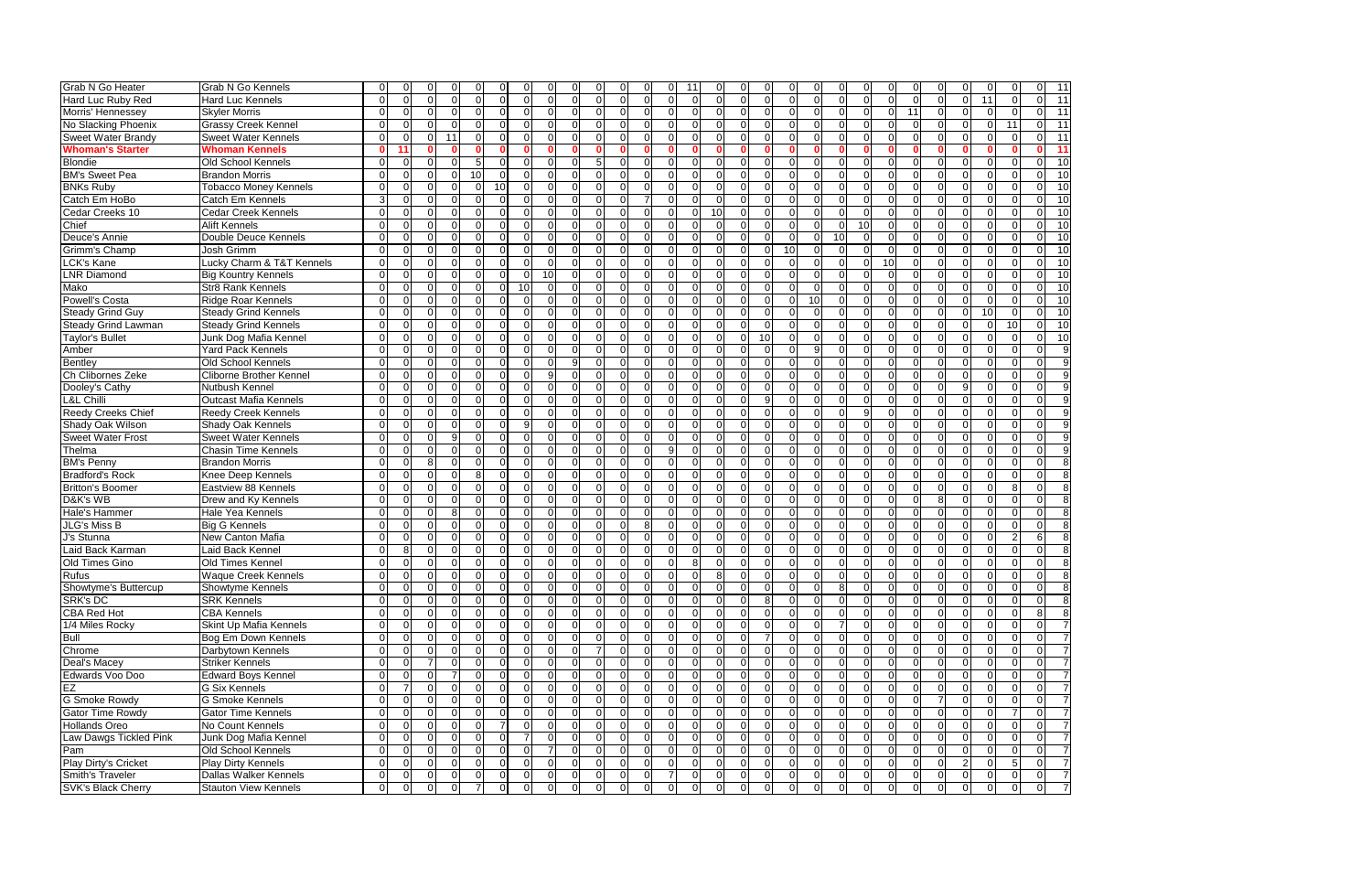| <b>Grab N Go Heater</b>   | <b>Grab N Go Kennels</b>       | $\Omega$       | $\Omega$<br>n                    |                | C              |    | $\Omega$       | 0              | $\Omega$       | $\Omega$       | O              |                |                | 11                   |                               |          |                                     | $\Omega$       |                | $\Omega$       |                | ΩI              |                |          | n              | $\Omega$       |                         |
|---------------------------|--------------------------------|----------------|----------------------------------|----------------|----------------|----|----------------|----------------|----------------|----------------|----------------|----------------|----------------|----------------------|-------------------------------|----------|-------------------------------------|----------------|----------------|----------------|----------------|-----------------|----------------|----------|----------------|----------------|-------------------------|
| Hard Luc Ruby Red         | Hard Luc Kennels               | $\Omega$       | $\overline{0}$<br>$\Omega$       | $\Omega$       | $\Omega$       |    | $\mathbf 0$    | $\Omega$       | $\Omega$       | $\Omega$       | $\Omega$       | $\Omega$       |                | $\Omega$             | $\Omega$<br>$\Omega$          |          | $\Omega$<br>$\Omega$                | $\Omega$       | $\Omega$       | $\Omega$       |                | $\Omega$        | $\Omega$       | $\Omega$ | $\Omega$       | 11             | $\Omega$                |
| Morris' Hennessey         | <b>Skyler Morris</b>           | $\Omega$       | 0<br>ΩI                          | $\Omega$       | $\Omega$       |    | $\mathbf 0$    | 0              | $\Omega$       | $\Omega$       | $\Omega$       | 0              |                | $\Omega$<br>$\Omega$ | 0                             |          | $\Omega$<br>$\overline{0}$          | $\overline{0}$ | $\mathbf 0$    | $\overline{0}$ | $\Omega$       | $\Omega$        | 11             | $\Omega$ | $\Omega$       | $\mathbf 0$    | $\Omega$                |
| No Slacking Phoenix       | <b>Grassy Creek Kennel</b>     | $\Omega$       | $\Omega$<br>ΩI                   | $\Omega$       | $\Omega$       |    | $\Omega$       | $\Omega$       | $\Omega$       | $\Omega$       | $\Omega$       | U              |                | C                    | $\Omega$<br>$\Omega$          |          | $\Omega$<br>$\Omega$                | $\Omega$       | $\Omega$       | $\overline{0}$ | $\Omega$       | $\Omega$        | $\Omega$       | $\Omega$ | $\Omega$       | $\Omega$       | 11                      |
| <b>Sweet Water Brandy</b> | <b>Sweet Water Kennels</b>     | $\Omega$       | $\Omega$<br>$\Omega$             | 11             | $\Omega$       |    | $\Omega$       | $\Omega$       | $\Omega$       | $\Omega$       | $\Omega$       | $\Omega$       | U              | $\Omega$             | $\Omega$<br>$\Omega$          |          | $\Omega$<br>$\Omega$                | $\Omega$       | $\Omega$       | $\overline{0}$ | $\Omega$       | $\Omega$        | $\Omega$       | $\Omega$ | $\Omega$       | $\Omega$       | $\Omega$                |
| <b>Whoman's Starter</b>   | <b>Whoman Kennels</b>          | $\mathbf{0}$   |                                  |                |                |    |                |                |                | n              |                |                |                |                      |                               |          |                                     | $\mathbf{0}$   |                | $\Omega$       |                | $\Omega$        |                |          |                |                |                         |
| <b>Blondie</b>            | Old School Kennels             | $\Omega$       | $\Omega$<br>n                    |                | .5             |    | $\Omega$       | $\Omega$       | $\Omega$       | $\Omega$       | 5              |                |                | $\Omega$             | U                             |          | $\Omega$<br>$\Omega$                | $\Omega$       | $\Omega$       | $\Omega$       |                | $\Omega$        |                | ∩        | C              | $\Omega$       |                         |
| <b>BM's Sweet Pea</b>     | <b>Brandon Morris</b>          | $\Omega$       | $\Omega$<br>ΩI                   |                | 10             |    | ∩              | $\Omega$       | $\Omega$       | $\Omega$       | U              |                |                |                      | U                             | n        | $\Omega$                            | $\Omega$       | $\Omega$       | $\Omega$       |                | $\Omega$        |                | ∩        | $\cap$         | $\Omega$       | ∩                       |
| <b>BNKs Ruby</b>          | <b>Tobacco Money Kennels</b>   | $\Omega$       | $\overline{0}$<br>ΩI             |                | $\Omega$       | 10 |                | $\overline{0}$ | $\Omega$       | $\Omega$       | $\Omega$       | n              |                |                      | 0<br>$\Omega$                 |          | $\Omega$<br>$\Omega$                | $\Omega$       | $\Omega$       | $\overline{0}$ |                | $\Omega$        |                | $\Omega$ | $\Omega$       | $\mathbf 0$    |                         |
| Catch Em HoBo             | Catch Em Kennels               | 3              | $\Omega$<br>$\Omega$             |                | $\Omega$       |    | $\Omega$       | $\Omega$       | $\Omega$       | $\Omega$       | $\Omega$       | U              |                | $\Omega$<br>C        | $\Omega$                      |          | $\Omega$<br>$\Omega$                | $\Omega$       | $\Omega$       | $\Omega$       |                | $\Omega$        |                | $\Omega$ | $\Omega$       | $\Omega$       |                         |
| Cedar Creeks 10           | <b>Cedar Creek Kennels</b>     | $\Omega$       | $\Omega$<br>ΩI                   | $\Omega$       | $\Omega$       |    | $\Omega$       | 0              | $\Omega$       | $\Omega$       | $\Omega$       | O              |                | $\Omega$             | 10<br>0                       |          | $\Omega$<br>$\Omega$                | $\Omega$       | 0              | $\Omega$       | U              | $\Omega$        |                | $\Omega$ | $\Omega$       | $\mathbf 0$    | $\Omega$                |
| Chief                     | <b>Alift Kennels</b>           | $\Omega$       | $\Omega$<br>$\Omega$             | $\Omega$       | $\Omega$       |    | $\Omega$       | $\Omega$       | $\Omega$       | $\Omega$       | $\Omega$       | $\Omega$       | U              | $\Omega$             | $\Omega$<br>$\Omega$          |          | $\Omega$<br>$\Omega$                | $\Omega$       | $\Omega$       | $\Omega$       | 10             | $\Omega$        | $\Omega$       | $\Omega$ | $\Omega$       | $\Omega$       | $\Omega$                |
| Deuce's Annie             | Double Deuce Kennels           | $\Omega$       | $\Omega$<br>$\Omega$             |                | $\Omega$       |    | $\Omega$       | 0              | $\Omega$       | $\Omega$       | $\Omega$       | $\Omega$       |                | $\Omega$             | $\Omega$                      |          | $\Omega$<br>$\Omega$                | $\Omega$       | $\Omega$       | 10             | U              | $\Omega$        |                | $\Omega$ | $\Omega$       | $\Omega$       |                         |
| Grimm's Champ             | Josh Grimm                     | $\Omega$       | $\Omega$<br>U                    |                | $\Omega$       |    | $\Omega$       | $\Omega$       | $\Omega$       | $\Omega$       | U              |                |                |                      | ∩<br>U                        |          | $\Omega$<br>$\Omega$                | 10             | $\Omega$       | $\Omega$       |                | $\Omega$        |                | $\Omega$ | $\cap$         | $\Omega$       | $\Omega$                |
| LCK's Kane                | Lucky Charm & T&T Kennels      | $\Omega$       | $\Omega$<br>n۱                   |                | $\Omega$       |    | $\Omega$       | $\Omega$       | $\Omega$       | $\Omega$       |                |                |                |                      | $\Omega$<br>U                 | U        | $\Omega$                            | $\Omega$       | $\Omega$       | $\Omega$       |                | 10 <sup>1</sup> |                | ∩        | $\cap$         | $\Omega$       | $\Omega$                |
| <b>LNR Diamond</b>        | <b>Big Kountry Kennels</b>     | $\Omega$       | $\Omega$<br>ΩI                   |                | $\Omega$       |    | $\Omega$       | $\Omega$       | 10             | $\Omega$       | $\Omega$       | n              |                |                      | $\Omega$<br>$\Omega$          |          | $\Omega$<br>$\Omega$                | $\Omega$       | $\Omega$       | $\Omega$       |                | $\Omega$        |                | $\Omega$ | $\Omega$       | $\Omega$       | $\Omega$                |
| Mako                      | <b>Str8 Rank Kennels</b>       | $\mathbf 0$    | $\overline{0}$<br>0              | ∩              | $\Omega$       |    | $\Omega$       | 10             | $\Omega$       | $\Omega$       | O              | o              |                |                      | 0                             |          | $\Omega$<br>$\Omega$                | $\overline{0}$ | $\Omega$       | $\overline{0}$ |                | $\Omega$        |                | $\Omega$ | $\Omega$       | $\Omega$       | $\Omega$                |
| <b>Powell's Costa</b>     | <b>Ridge Roar Kennels</b>      | $\Omega$       | $\Omega$<br>U                    |                | $\Omega$       |    | $\Omega$       | $\Omega$       | $\Omega$       | $\Omega$       | $\Omega$       |                |                | $\Omega$             | $\Omega$                      |          | $\Omega$<br>$\Omega$                | $\Omega$       | 10             | $\overline{0}$ |                | $\Omega$        |                | $\Omega$ | -C             | $\mathbf 0$    | $\Omega$                |
| <b>Steady Grind Guy</b>   | <b>Steady Grind Kennels</b>    | $\Omega$       | $\Omega$<br>$\Omega$             | $\Omega$       | $\Omega$       |    | $\Omega$       | $\Omega$       | $\Omega$       | $\Omega$       | $\Omega$       | $\Omega$       | $\Omega$       | $\Omega$             | $\Omega$<br>0                 |          | $\Omega$<br>$\Omega$                | $\Omega$       | $\mathbf 0$    | $\overline{0}$ | $\Omega$       | $\Omega$        | $\Omega$       | $\Omega$ | $\Omega$       | 10             | $\Omega$                |
| Steady Grind Lawman       | <b>Steady Grind Kennels</b>    | $\Omega$       | $\Omega$<br>$\Omega$             | $\Omega$       | $\Omega$       |    | $\Omega$       | $\Omega$       | $\Omega$       | $\Omega$       | $\Omega$       | $\Omega$       |                | $\Omega$             | $\Omega$                      |          | $\Omega$<br>$\Omega$                | $\Omega$       | $\Omega$       | $\Omega$       |                | $\Omega$        |                | $\Omega$ | $\Omega$       | $\Omega$       | $\overline{10}$         |
| <b>Taylor's Bullet</b>    | Junk Dog Mafia Kennel          | $\Omega$       | $\Omega$<br>ΩI                   |                | $\Omega$       |    | $\Omega$       | $\Omega$       | $\Omega$       | $\Omega$       | U              |                |                |                      | $\Omega$<br>O                 |          | $\Omega$<br>10                      | $\Omega$       | $\Omega$       | $\Omega$       |                | $\Omega$        |                | $\Omega$ | $\cap$         | $\Omega$       | $\Omega$                |
| Amber                     | <b>Yard Pack Kennels</b>       | $\Omega$       | $\Omega$<br>ΩI                   |                | $\Omega$       |    | $\Omega$       | $\Omega$       | $\Omega$       | $\Omega$       | U              |                |                |                      | $\Omega$<br>U                 |          | $\Omega$<br>$\Omega$                | $\Omega$       | 9              | $\Omega$       |                | $\Omega$        |                | ∩        | $\cap$         | $\Omega$       | $\Omega$                |
| Bentley                   | Old School Kennels             | $\Omega$       | $\Omega$<br>U                    |                | $\Omega$       |    | $\Omega$       | $\Omega$       | $\Omega$       | 9              | U              |                |                | $\Omega$             | U                             |          | $\Omega$<br>$\Omega$                | $\Omega$       | $\Omega$       | $\Omega$       |                | $\Omega$        |                | ∩        | $\cap$         | $\Omega$       |                         |
| Ch Clibornes Zeke         | <b>Cliborne Brother Kennel</b> | $\Omega$       | $\Omega$<br>n                    |                | $\Omega$       |    |                | $\Omega$       | g              | $\Omega$       |                |                |                |                      |                               | $\Omega$ | $\Omega$                            | $\Omega$       | $\Omega$       | $\Omega$       |                | $\Omega$        |                | ∩        | $\Omega$       | $\Omega$       |                         |
| Dooley's Cathy            | Nutbush Kennel                 | $\Omega$       | $\overline{O}$<br>U              | $\Omega$       | $\Omega$       |    | $\Omega$       | $\Omega$       | $\Omega$       | $\Omega$       | ΩI             |                |                |                      | 0<br>$\Omega$                 |          | $\Omega$<br>$\Omega$                | $\Omega$       | 0              | $\overline{0}$ |                | $\Omega$        |                | $\Omega$ | g              | $\mathbf 0$    | $\Omega$                |
| L&L Chilli                | <b>Outcast Mafia Kennels</b>   | $\Omega$       | $\Omega$<br>$\Omega$             | $\Omega$       | $\Omega$       |    | $\Omega$       | $\Omega$       | $\Omega$       | $\Omega$       | $\Omega$       | $\Omega$       |                | $\Omega$<br>$\Omega$ | $\Omega$                      |          | 9<br>$\Omega$                       | $\Omega$       | $\Omega$       | $\Omega$       | $\Omega$       | $\Omega$        | U              | $\Omega$ | $\Omega$       | $\Omega$       | $\Omega$                |
| Reedy Creeks Chief        | <b>Reedy Creek Kennels</b>     | $\Omega$       | $\Omega$<br>$\Omega$             | $\Omega$       | $\Omega$       |    | $\Omega$       | $\Omega$       | $\Omega$       | $\Omega$       | $\Omega$       | U              |                | C<br>$\Omega$        | O                             |          | $\Omega$<br>$\Omega$                | $\Omega$       | $\Omega$       | $\Omega$       | $\mathsf{Q}$   | $\Omega$        | $\Omega$       | $\Omega$ | $\Omega$       | $\Omega$       | $\Omega$                |
| Shady Oak Wilson          | Shady Oak Kennels              | $\Omega$       | $\Omega$<br>ΩI                   |                | $\Omega$       |    | $\Omega$       | 9              | $\Omega$       | $\Omega$       | U              | n              |                | $\Omega$             | O                             |          | $\Omega$<br>$\Omega$                | $\Omega$       | $\Omega$       | $\Omega$       | U              | $\Omega$        |                | $\Omega$ | $\Omega$       | $\Omega$       | $\Omega$                |
| <b>Sweet Water Frost</b>  | <b>Sweet Water Kennels</b>     | $\Omega$       | $\Omega$<br>ΩI                   | q              | $\Omega$       |    | $\Omega$       | $\Omega$       | $\Omega$       | $\Omega$       | U              |                |                | $\Omega$             | 0                             |          | $\Omega$<br>$\Omega$                | $\Omega$       | $\Omega$       | $\Omega$       |                | $\Omega$        |                | ∩        | $\Omega$       | $\Omega$       | $\Omega$                |
| Thelma                    | <b>Chasin Time Kennels</b>     | $\Omega$       | $\Omega$<br>$\Omega$             | ∩              | $\Omega$       |    | $\Omega$       | $\Omega$       | $\Omega$       | $\Omega$       | U              | $\Omega$       |                | Q                    | $\Omega$<br>$\Omega$          |          | $\Omega$<br>$\Omega$                | $\Omega$       | $\Omega$       | $\Omega$       | $\Omega$       | $\Omega$        |                | $\Omega$ | $\Omega$       | $\Omega$       | $\Omega$                |
| <b>BM's Penny</b>         | <b>Brandon Morris</b>          | $\Omega$       | $\overline{0}$<br>81             | $\Omega$       | $\Omega$       |    | 0              | $\overline{0}$ | $\Omega$       | $\Omega$       | $\Omega$       |                |                | -C                   | $\Omega$<br>0                 |          | $\Omega$<br>$\Omega$                | $\Omega$       | $\Omega$       | $\overline{0}$ |                | $\Omega$        | n              | $\Omega$ | $\Omega$       | $\Omega$       | $\Omega$                |
| <b>Bradford's Rock</b>    | Knee Deep Kennels              | $\Omega$       | $\overline{0}$<br>ΩI             | $\Omega$       | 8              |    | $\Omega$       | 0              | $\overline{0}$ | $\Omega$       | $\Omega$       | U              |                |                      | $\Omega$<br>0                 |          | $\Omega$<br>$\Omega$                | $\Omega$       | 0              | $\overline{0}$ | U              | $\Omega$        | ∩              | $\Omega$ | $\Omega$       | $\mathbf 0$    | $\Omega$                |
| <b>Britton's Boomer</b>   | Eastview 88 Kennels            | $\Omega$       | $\Omega$<br>$\Omega$             | <sup>n</sup>   | $\Omega$       |    | $\Omega$       | $\overline{0}$ | $\Omega$       | $\Omega$       | $\Omega$       | $\Omega$       |                | $\Omega$             | $\Omega$<br>$\Omega$          |          | $\Omega$<br>$\Omega$                | $\Omega$       | $\Omega$       | $\overline{0}$ | $\Omega$       | $\Omega$        | ∩              | $\Omega$ | $\Omega$       | $\Omega$       | 8                       |
| D&K's WB                  | Drew and Ky Kennels            | $\Omega$       | $\Omega$<br>$\Omega$             |                | $\Omega$       |    | $\Omega$       | $\Omega$       | $\Omega$       | $\Omega$       | $\Omega$       | U              |                | $\Omega$             | $\Omega$<br>$\Omega$          |          | $\Omega$<br>$\Omega$                | $\Omega$       | $\Omega$       | $\Omega$       |                | $\Omega$        |                | 8        | $\Omega$       | $\Omega$       | $\Omega$                |
| <b>Hale's Hammer</b>      | Hale Yea Kennels               | $\Omega$       | $\Omega$<br>$\Omega$             |                | $\Omega$       |    | $\Omega$       | $\Omega$       | $\Omega$       | $\Omega$       | $\Omega$       | U              |                |                      | 0                             | $\Omega$ | $\Omega$                            | $\Omega$       | $\Omega$       | $\Omega$       |                | $\Omega$        |                | $\Omega$ | $\Omega$       | $\Omega$       |                         |
| JLG's Miss B              | <b>Big G Kennels</b>           | $\Omega$       | $\Omega$<br>ΩI                   |                | $\Omega$       |    | ∩              | O              | $\Omega$       | $\Omega$       | U              |                |                |                      | $\Omega$<br>U                 |          | $\Omega$<br>$\Omega$                | $\Omega$       | $\Omega$       | $\Omega$       |                | $\Omega$        |                | ∩        | -C             | $\Omega$       | $\Omega$                |
| J's Stunna                | New Canton Mafia               | $\Omega$       | $\Omega$<br>ΩI                   |                | $\Omega$       |    | $\Omega$       | $\Omega$       | $\Omega$       | $\Omega$       | U              | $\Omega$       |                | $\Omega$<br>$\Omega$ | $\Omega$                      |          | $\Omega$<br>$\Omega$                | $\Omega$       | $\Omega$       | $\Omega$       | U              | $\Omega$        |                | $\Omega$ | $\cap$         | $\Omega$       | 2                       |
| Laid Back Karman          | Laid Back Kennel               | $\Omega$       | 8<br>ΩI                          | <sup>0</sup>   | $\Omega$       |    | 0              | <sup>O</sup>   | $\Omega$       | $\Omega$       | $\Omega$       | O              |                | $\Omega$<br>-C       | 0                             |          | $\Omega$<br>$\Omega$                | $\Omega$       | $\Omega$       | $\overline{0}$ |                | $\overline{0}$  |                | $\Omega$ | $\Omega$       | $\mathbf 0$    |                         |
| Old Times Gino            | <b>Old Times Kennel</b>        | $\Omega$       | $\Omega$<br>n                    | ∩              | $\Omega$       |    | $\Omega$       | 0              | $\Omega$       | $\Omega$       |                |                |                | 8                    | O                             | $\Omega$ | $\Omega$                            | $\Omega$       | $\Omega$       | $\overline{0}$ |                | $\Omega$        |                | $\Omega$ | $\Omega$       | $\mathbf 0$    |                         |
| <b>Rufus</b>              | <b>Waque Creek Kennels</b>     | $\Omega$       | $\overline{0}$<br>$\overline{0}$ |                | $\Omega$       |    |                | 0              |                | $\Omega$       | $\Omega$       | 0              |                |                      | 8<br>0                        |          | U<br>$\Omega$                       | $\Omega$       | 0              | $\overline{0}$ | $\Omega$       | $\Omega$        |                |          | O              | $\Omega$       |                         |
| Showtyme's Buttercup      | <b>Showtyme Kennels</b>        | $\overline{0}$ | 0 <br>01                         | $\overline{0}$ | $\overline{0}$ |    | $\overline{0}$ | $\overline{0}$ | $\overline{0}$ | $\overline{0}$ | $\overline{0}$ | $\overline{0}$ | $\overline{0}$ | $\overline{0}$       | $\overline{0}$<br>0           |          | $\overline{0}$<br>$\overline{0}$    | $\overline{0}$ | $\overline{0}$ | 8 <sup>1</sup> | ΟI             | $\overline{0}$  | $\overline{0}$ | 0I       | $\Omega$       | $\overline{0}$ | $\mathbf 0$             |
| <b>SRK's DC</b>           | <b>SRK Kennels</b>             | $\overline{0}$ | $\overline{0}$<br>$\overline{0}$ | $\Omega$       | $\Omega$       |    | $\Omega$       | $\overline{0}$ | $\overline{0}$ | $\overline{0}$ | $\Omega$       | $\Omega$       |                | $\Omega$             | $\Omega$<br>$\Omega$          |          | $\overline{\mathbf{8}}$<br>$\Omega$ | $\overline{0}$ | $\overline{0}$ | $\overline{0}$ | $\Omega$       | $\overline{0}$  |                | $\Omega$ | $\Omega$       | $\overline{0}$ | $\overline{0}$          |
| <b>CBA Red Hot</b>        | <b>CBA Kennels</b>             | $\overline{0}$ | $\overline{0}$<br>$\Omega$       | $\Omega$       | $\overline{0}$ |    | $\mathbf 0$    | $\overline{0}$ | $\overline{0}$ | $\overline{0}$ | $\overline{0}$ | $\Omega$       | ∩              | $\Omega$             | $\mathbf 0$<br>$\Omega$       |          | $\overline{0}$<br>$\overline{0}$    | $\overline{0}$ | $\overline{0}$ | 0              | $\Omega$       | $\overline{0}$  | $\Omega$       | $\Omega$ | $\Omega$       | $\overline{0}$ | $\mathbf 0$             |
| 1/4 Miles Rocky           | Skint Up Mafia Kennels         | $\overline{0}$ | $\overline{0}$<br>$\Omega$       | $\Omega$       | $\Omega$       |    | $\Omega$       | $\overline{0}$ | $\Omega$       | $\overline{0}$ | $\Omega$       | $\Omega$       |                | $\Omega$             | $\mathbf 0$<br>0              |          | $\overline{0}$<br>$\Omega$          | $\overline{0}$ | $\overline{0}$ | $\overline{7}$ | $\overline{0}$ | $\overline{0}$  |                | $\Omega$ | $\Omega$       | $\Omega$       | $\mathbf 0$             |
| Bull                      | <b>Bog Em Down Kennels</b>     | $\overline{0}$ | $\overline{0}$<br>ΟI             | $\Omega$       | 0              |    | 0              | $\overline{0}$ | $\overline{0}$ | $\overline{0}$ | 0              | 0              |                | $\Omega$             | $\Omega$<br>0                 |          | $\Omega$                            | $\overline{0}$ | $\mathbf 0$    | $\overline{0}$ |                | $\overline{0}$  |                | $\Omega$ | $\Omega$       | $\overline{0}$ | $\Omega$                |
| Chrome                    | Darbytown Kennels              | 0              | 0I<br>01                         | $\Omega$       | $\Omega$       |    | 0              | $\overline{0}$ | $\overline{0}$ | $\overline{0}$ |                | 0              |                | $\Omega$             | $\Omega$<br>0                 |          | 0<br>$\overline{0}$                 | $\overline{0}$ | $\mathbf 0$    | $\overline{0}$ |                | $\overline{0}$  |                | $\Omega$ | $\Omega$       | $\mathbf 0$    | $\mathbf 0$             |
| Deal's Macey              | <b>Striker Kennels</b>         | 0              | $\overline{0}$                   | $\Omega$       | $\Omega$       |    | $\Omega$       | $\overline{0}$ | $\Omega$       | $\overline{0}$ | $\Omega$       |                |                |                      | $\Omega$<br>0                 |          | $\Omega$<br>$\overline{0}$          | $\overline{0}$ | $\mathbf 0$    | $\overline{0}$ |                | ΟI              |                |          |                | $\mathbf 0$    | $\mathbf 0$             |
| Edwards Voo Doo           | <b>Edward Boys Kennel</b>      | $\Omega$       | $\overline{0}$<br>$\Omega$       |                | $\Omega$       |    | $\Omega$       | $\Omega$       | $\Omega$       | $\Omega$       | $\Omega$       | $\Omega$       | ∩              | $\Omega$             | $\Omega$<br>$\Omega$          |          | $\Omega$<br>$\Omega$                | $\Omega$       | $\overline{0}$ | $\overline{0}$ | $\Omega$       | $\Omega$        | $\Omega$       | $\Omega$ | $\Omega$       | $\Omega$       | $\overline{0}$          |
| EZ                        | <b>G Six Kennels</b>           | $\mathbf 0$    | ΟI                               | $\Omega$       | $\Omega$       |    | $\Omega$       | $\overline{0}$ | $\overline{0}$ | $\overline{0}$ | $\Omega$       | $\Omega$       |                |                      | $\Omega$                      |          | $\Omega$<br>$\overline{0}$          | $\overline{0}$ | $\mathbf{0}$   | $\overline{0}$ | $\Omega$       | ΟI              |                | $\Omega$ | $\Omega$       | $\Omega$       | $\Omega$                |
| <b>G Smoke Rowdy</b>      | <b>G Smoke Kennels</b>         | $\mathbf 0$    | 0I<br>ΩI                         | $\Omega$       | $\Omega$       |    | $\Omega$       | $\Omega$       | $\overline{0}$ | $\overline{0}$ | $\Omega$       |                |                |                      | $\Omega$<br>$\Omega$          |          | $\Omega$<br>$\Omega$                | $\overline{0}$ | $\Omega$       | ΟI             |                | ΟI              |                |          | $\Omega$       | $\Omega$       | $\mathbf 0$             |
| <b>Gator Time Rowdy</b>   | <b>Gator Time Kennels</b>      | $\mathbf 0$    | $\overline{0}$<br>01             |                | $\Omega$       |    | $\Omega$       | $\overline{0}$ | $\Omega$       | $\overline{0}$ | ΩI             |                |                |                      | $\Omega$<br>0                 |          | $\Omega$<br>$\Omega$                | $\overline{0}$ | $\overline{0}$ | $\overline{0}$ |                | ΟI              |                | $\Omega$ | $\Omega$       | $\Omega$       |                         |
| <b>Hollands Oreo</b>      | No Count Kennels               | $\overline{0}$ | $\overline{0}$<br>$\Omega$       | $\Omega$       | $\Omega$       |    |                | $\overline{0}$ | $\overline{0}$ | $\Omega$       | $\Omega$       | 0              |                | $\Omega$             | $\mathbf 0$<br>0              |          | $\overline{0}$<br>$\overline{0}$    | $\overline{0}$ | $\overline{0}$ | $\overline{0}$ |                | $\overline{0}$  | $\Omega$       | $\Omega$ | $\Omega$       | $\overline{0}$ | $\Omega$                |
| Law Dawgs Tickled Pink    | Junk Dog Mafia Kennel          | 0              | $\overline{0}$<br>01             | $\Omega$       | $\Omega$       |    | 0              |                | $\overline{0}$ | $\overline{0}$ | 0              | 0              |                | $\Omega$             | $\mathbf 0$<br>0              |          | 0<br>0I                             | $\overline{0}$ | $\mathbf 0$    | $\overline{0}$ | $\Omega$       | $\Omega$        |                | $\Omega$ | $\Omega$       | $\mathbf 0$    | $\mathbf 0$             |
| Pam                       | Old School Kennels             | $\overline{0}$ | $\overline{0}$<br>$\overline{0}$ | $\Omega$       | $\Omega$       |    | $\Omega$       | $\overline{0}$ |                | $\Omega$       | $\Omega$       | $\Omega$       |                | $\Omega$             | $\mathbf 0$<br>0              |          | $\overline{0}$<br>$\overline{0}$    | $\overline{0}$ | $\overline{0}$ | $\overline{0}$ | $\Omega$       | $\Omega$        |                | $\Omega$ | $\Omega$       | $\overline{0}$ | $\mathbf 0$             |
| Play Dirty's Cricket      | Play Dirty Kennels             | $\overline{0}$ | $\overline{0}$<br>$\overline{0}$ | $\Omega$       | $\Omega$       |    | $\Omega$       | $\overline{0}$ | $\overline{0}$ | $\Omega$       | $\Omega$       | $\Omega$       | $\Omega$       | $\Omega$             | $\mathbf 0$<br>$\overline{0}$ |          | $\Omega$<br>$\Omega$                | $\overline{0}$ | $\overline{0}$ | $\overline{0}$ | $\Omega$       | $\Omega$        | $\Omega$       | $\Omega$ | $\overline{2}$ | $\overline{0}$ | $\overline{5}$          |
| Smith's Traveler          | Dallas Walker Kennels          | $\overline{0}$ | 0 <br>0I                         | $\overline{0}$ | $\overline{0}$ |    | $\overline{0}$ | $\overline{0}$ | $\overline{0}$ | $\overline{0}$ | <sup>0</sup>   | $\overline{0}$ | $\Omega$       | 7                    | $\mathbf 0$<br>$\overline{0}$ |          | $\overline{0}$<br>$\overline{0}$    | $\overline{0}$ | $\overline{0}$ | 0              | $\overline{0}$ | $\overline{0}$  | $\Omega$       | $\Omega$ | $\overline{0}$ | $\overline{0}$ | $\overline{\mathbf{0}}$ |
| <b>SVK's Black Cherry</b> | <b>Stauton View Kennels</b>    | $\overline{0}$ | $\overline{0}$<br>$\Omega$       | $\Omega$       |                |    | $\Omega$       | $\Omega$       | $\Omega$       | $\Omega$       | $\Omega$       |                |                |                      | $\Omega$<br>$\Omega$          |          | $\Omega$<br>$\Omega$                | $\overline{0}$ | $\Omega$       | $\Omega$       |                | $\Omega$        | $\Omega$       | $\Omega$ | $\Omega$       | $\overline{0}$ | $\overline{0}$          |

| 0                   | 0                   | 1<br>1                                    |
|---------------------|---------------------|-------------------------------------------|
| $\overline{0}$      | $\overline{0}$      | $\overline{1}$<br>1                       |
| 0                   | 0                   | 1<br>1                                    |
| 1<br>1              | ō                   | $\overline{1}$<br>1                       |
| $\overline{0}$      | 0                   | $\overline{1}$<br>$\overline{\mathbf{1}}$ |
| 0                   | Ō                   | 1<br>1                                    |
| 0                   | 0                   | $\overline{10}$                           |
| 0                   | 0                   | $\overline{1}$<br>0                       |
| $\overline{0}$      | $\overline{0}$      | $\overline{1}$<br>$\overline{0}$          |
| 0                   | ō                   | $\overline{1}0$                           |
| ō                   | ō                   | $\overline{10}$                           |
| 0                   | $\mathbf{0}$        | 1<br>0                                    |
| $\overline{0}$      | $\overline{0}$      | $\overline{\mathbf{1}}$<br>$\overline{0}$ |
| 0                   | ō                   | $\overline{\mathbf{1}}$<br>$\overline{0}$ |
| 0                   | 0                   | 1<br>$\mathbf 0$                          |
| $\overline{0}$      | $\overline{0}$      | $\overline{10}$                           |
| 0                   | 0                   | $\overline{1}0$                           |
| 0                   | 0                   | $\overline{1}0$                           |
| 0                   | 0                   | $\overline{1}0$                           |
| 1<br>ō              | $\overline{0}$      | 1<br>$\overline{0}$                       |
| ō                   | ō                   | 1<br>$\overline{0}$                       |
| $\overline{0}$      | $\overline{0}$      | 9                                         |
| $\overline{0}$      | 0                   | 9                                         |
| 0                   | 0                   | g                                         |
| 0                   | 0                   | $\overline{9}$                            |
| ō                   | $\overline{0}$      | 9                                         |
| 0                   | 0                   | 9                                         |
| 0                   | 0                   | Ś<br>ϡ                                    |
| ō                   | ō                   | g                                         |
| 0                   | 0                   | 9                                         |
| ō                   | $\overline{0}$      | 8                                         |
| 0                   | 0                   | 8                                         |
| 8                   | 0                   | 8                                         |
| 0                   | 0                   | 8                                         |
| 0                   | 0                   | ξ<br>3                                    |
| 0                   | 0                   | 8                                         |
| $\overline{2}$      | 6                   | 8                                         |
| $\overline{0}$      | ō                   | $\overline{\mathbf{8}}$                   |
| 0                   | $\overline{0}$      | 8                                         |
| 0                   | 0                   | $\overline{8}$                            |
| 0                   | 0                   | 8<br>8                                    |
| 0                   | 0                   |                                           |
| 0                   | 8                   | 8                                         |
| 0<br>$\overline{0}$ | 0<br>$\overline{0}$ | 7<br>7                                    |
| 0                   | 0                   | 7                                         |
| $\overline{0}$      | $\overline{0}$      | 7                                         |
|                     |                     |                                           |
| 0<br>0              | 0<br>0              | $\overline{7}$<br>$\overline{7}$          |
| $\overline{0}$      | 0                   | 7                                         |
| 7                   | 0                   | 7                                         |
| 0                   | 0                   |                                           |
| 0                   | 0                   | $\overline{\prime}$<br>7                  |
| 0                   | $\overline{0}$      | 7                                         |
| 5                   | 0                   | 7                                         |
| 0                   | 0                   | 7                                         |
| 0                   | 0                   | 1                                         |
|                     |                     |                                           |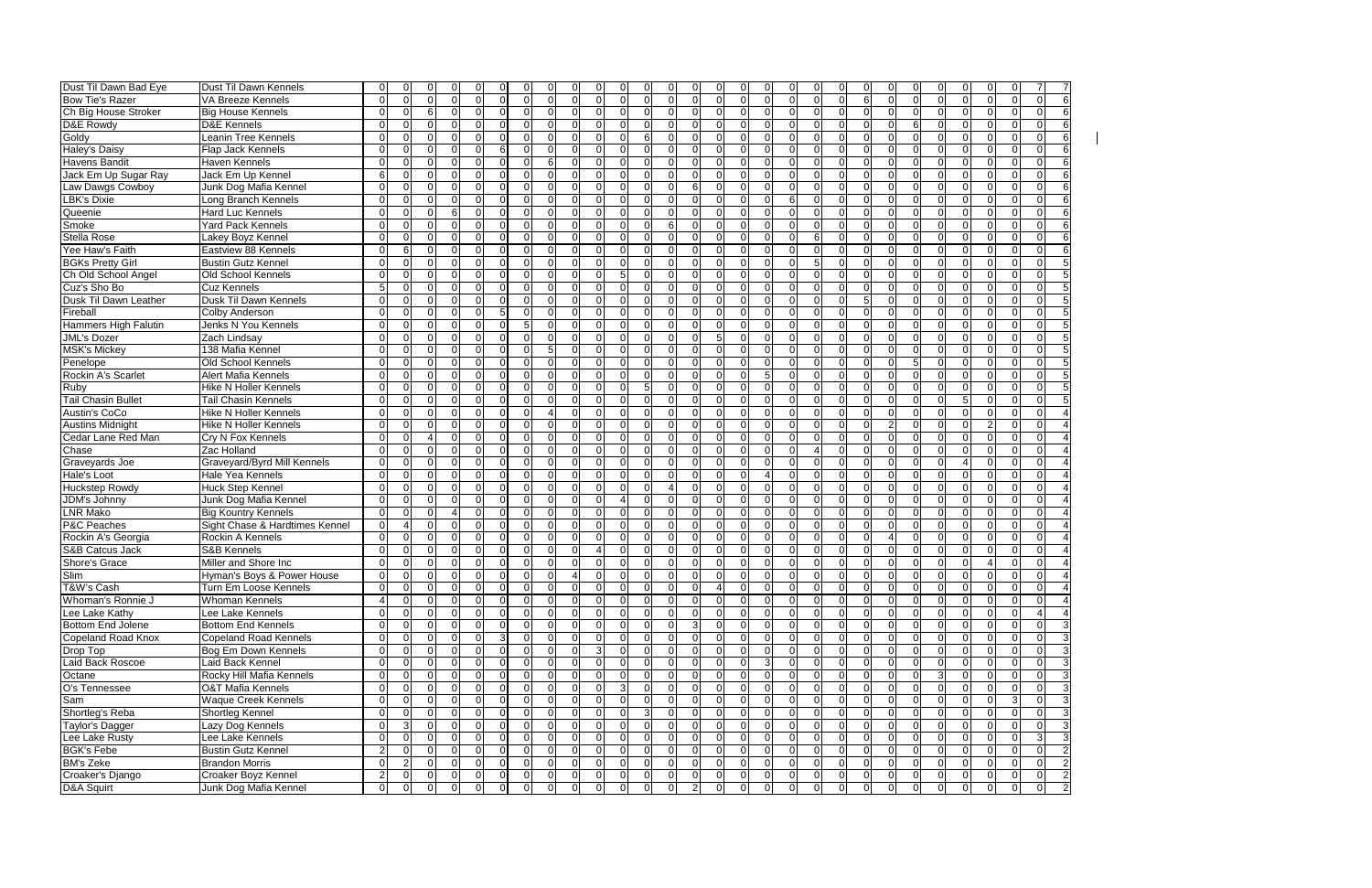| Dust Til Dawn Bad Eye       | Dust Til Dawn Kennels          | $\Omega$<br>$\Omega$             |                |                                  |          | $\Omega$<br>$\Omega$             | 0              | $\Omega$<br>0                                      |                            | ∩                          |                                  | 0              | $\Omega$<br>$\Omega$             | 0                                | O                                | $\Omega$                 |                |
|-----------------------------|--------------------------------|----------------------------------|----------------|----------------------------------|----------|----------------------------------|----------------|----------------------------------------------------|----------------------------|----------------------------|----------------------------------|----------------|----------------------------------|----------------------------------|----------------------------------|--------------------------|----------------|
| Bow Tie's Razer             | VA Breeze Kennels              | $\Omega$<br>$\Omega$             | $\Omega$       | U                                | $\Omega$ | $\Omega$<br>$\Omega$             | $\Omega$       | $\Omega$<br>$\Omega$<br>$\Omega$                   | ΩI<br>$\Omega$             | $\Omega$<br>$\Omega$       | $\Omega$                         | $\overline{0}$ | $\Omega$<br>$\Omega$             | 6<br>$\Omega$                    | $\Omega$<br>$\Omega$             | $\Omega$<br>$\Omega$     |                |
| Ch Big House Stroker        | <b>Big House Kennels</b>       | $\Omega$<br>$\Omega$             | 6              | 0<br>∩                           | $\Omega$ | $\Omega$<br>$\overline{0}$       | $\Omega$       | $\Omega$<br>$\Omega$<br>$\Omega$                   | $\Omega$<br>O              | $\Omega$<br>$\Omega$       | $\Omega$                         | 0              | $\overline{0}$<br>0              | $\Omega$<br>$\Omega$             | $\Omega$<br>$\Omega$             | $\Omega$                 |                |
| D&E Rowdy                   | <b>D&amp;E Kennels</b>         | $\Omega$<br>$\Omega$             | $\Omega$       | $\Omega$<br>∩                    | $\Omega$ | $\Omega$<br>$\Omega$             | $\Omega$       | $\Omega$<br>$\Omega$<br>$\Omega$                   | O<br>$\Omega$              | $\Omega$<br>$\Omega$       | $\Omega$                         | 0              | $\Omega$<br>$\Omega$             | $\Omega$<br>$\Omega$             | 6<br>$\Omega$                    | $\Omega$<br>$\Omega$     |                |
| Goldy                       | Leanin Tree Kennels            | $\Omega$<br>$\Omega$             | $\Omega$       | $\Omega$<br>∩                    | $\Omega$ | $\Omega$<br>$\Omega$             | $\Omega$       | 6<br>$\Omega$<br>$\Omega$                          | $\Omega$<br>$\Omega$       | $\Omega$<br>$\Omega$       | $\Omega$                         | $\mathbf 0$    | $\Omega$<br>$\Omega$             | $\Omega$<br>$\Omega$             | $\Omega$<br>$\Omega$             | $\Omega$<br>$\Omega$     |                |
| Haley's Daisy               | Flap Jack Kennels              | $\Omega$<br>$\Omega$             | $\Omega$       | U                                | 6        | $\Omega$<br>$\Omega$             | $\Omega$       | $\Omega$<br>$\Omega$                               | U<br>U                     | $\Omega$<br>$\Omega$       | $\Omega$                         | $\Omega$       | $\Omega$<br>$\Omega$             | $\Omega$                         | $\Omega$<br>$\Omega$             | $\Omega$                 |                |
| <b>Havens Bandit</b>        | <b>Haven Kennels</b>           | $\Omega$<br>$\Omega$             | $\Omega$       |                                  | $\Omega$ | $\Omega$<br>6                    | $\Omega$       | $\Omega$<br>$\Omega$<br>$\cap$                     | U<br>∩                     | $\Omega$<br>$\Omega$       | $\Omega$                         | $\Omega$       | $\Omega$<br>$\Omega$             | $\Omega$<br>∩                    | $\Omega$<br>$\Omega$             | $\Omega$                 |                |
| Jack Em Up Sugar Ray        | Jack Em Up Kennel              | 6<br>$\Omega$                    | ∩              |                                  |          | $\Omega$<br>$\Omega$             | $\Omega$       | $\Omega$<br>$\Omega$                               | U<br>n                     | ΩI<br>∩                    | ∩                                | $\Omega$       | $\Omega$<br>$\Omega$             | $\Omega$                         | 0<br>$\Omega$                    | $\Omega$<br>O            |                |
| Law Dawgs Cowboy            | Junk Dog Mafia Kennel          | $\Omega$<br>$\Omega$             | 0              |                                  | $\Omega$ | $\Omega$<br>$\Omega$             | $\Omega$       | $\Omega$<br>$\Omega$                               | 6<br>O                     | $\Omega$<br>$\Omega$       | $\mathbf 0$                      | $\mathbf 0$    | $\Omega$<br>0                    | $\Omega$<br>$\Omega$             | $\Omega$<br>$\Omega$             | $\Omega$                 |                |
| LBK's Dixie                 | Long Branch Kennels            | $\Omega$<br>$\Omega$             | $\Omega$       | U                                | $\Omega$ | $\Omega$<br>$\Omega$             | $\Omega$       | $\Omega$<br>$\Omega$<br>$\Omega$                   | $\Omega$<br>U              | $\Omega$<br>$\Omega$       | $\Omega$                         | 6              | 0<br>$\Omega$                    | $\Omega$<br>$\Omega$             | $\Omega$<br>$\Omega$             | $\Omega$                 |                |
| Queenie                     | Hard Luc Kennels               | $\Omega$<br>$\Omega$             | $\Omega$       | 6<br>n                           | $\Omega$ | $\Omega$<br>$\Omega$             | 0              | $\Omega$<br>$\Omega$<br>$\Omega$                   | O<br>U                     | $\Omega$<br>$\Omega$       | 0                                | 0              | $\Omega$<br>0                    | $\Omega$<br>O                    | $\Omega$<br>$\Omega$             | $\Omega$<br>$\Omega$     |                |
| Smoke                       | <b>Yard Pack Kennels</b>       | $\Omega$<br>$\Omega$             | $\Omega$       | $\Omega$<br>∩                    | $\Omega$ | $\Omega$<br>$\Omega$             | $\Omega$       | $\Omega$<br>$\Omega$<br>$\Omega$                   | 6<br>$\Omega$              | $\Omega$<br>$\Omega$       | $\Omega$                         | $\mathbf 0$    | $\Omega$<br>$\Omega$             | $\Omega$<br>∩                    | $\Omega$<br>$\Omega$             | $\Omega$<br>$\Omega$     |                |
| <b>Stella Rose</b>          | Lakey Boyz Kennel              | $\Omega$<br>$\Omega$             | $\Omega$       | U                                | $\Omega$ | $\Omega$<br>$\Omega$             | $\Omega$       | $\Omega$<br>$\Omega$<br>$\Omega$                   | U<br>U                     | $\Omega$<br>$\Omega$       | $\Omega$                         | $\Omega$       | $\Omega$<br>6                    | $\Omega$                         | $\Omega$<br>$\Omega$             | $\Omega$                 |                |
| Yee Haw's Faith             | Eastview 88 Kennels            | 6<br>$\Omega$                    | $\Omega$       |                                  | $\Omega$ | $\Omega$<br>$\Omega$             | $\Omega$       | $\Omega$<br>$\Omega$                               | U<br>U                     | $\Omega$<br>$\Omega$       | $\Omega$                         | $\Omega$       | $\Omega$<br>$\Omega$             | $\Omega$<br>0                    | $\Omega$<br>$\Omega$             | $\Omega$                 |                |
| <b>BGKs Pretty Girl</b>     | <b>Bustin Gutz Kennel</b>      | $\Omega$<br>$\Omega$             | $\Omega$       |                                  |          | $\Omega$<br>$\Omega$             | $\Omega$       | $\Omega$<br>$\Omega$                               |                            | ΩI<br>∩                    | ∩                                | $\Omega$       | $5\overline{)}$<br>$\Omega$      | 0                                | 0<br>$\Omega$                    | $\Omega$<br>U            |                |
| Ch Old School Angel         | Old School Kennels             | $\Omega$<br>$\Omega$             | $\Omega$       |                                  | $\Omega$ | $\Omega$<br>$\Omega$             | $\Omega$       | 5<br>$\Omega$                                      | $\Omega$<br>U              | $\Omega$<br>$\Omega$       | $\Omega$                         | $\mathbf 0$    | $\Omega$<br>$\Omega$             | $\Omega$<br>$\Omega$             | $\Omega$<br>$\Omega$             | $\Omega$<br>$\Omega$     |                |
| Cuz's Sho Bo                | <b>Cuz Kennels</b>             | 5<br>$\mathbf 0$                 | $\Omega$       |                                  | $\Omega$ | $\Omega$<br>$\Omega$             | $\Omega$       | $\Omega$<br>$\Omega$                               | $\Omega$<br>U              | $\Omega$<br>$\Omega$       | $\mathbf 0$                      | 0              | $\Omega$<br>0                    | $\Omega$                         | $\Omega$<br>$\Omega$             | $\Omega$                 |                |
| Dusk Til Dawn Leather       | Dusk Til Dawn Kennels          | $\Omega$<br>$\Omega$             | $\Omega$       | U<br>∩                           | $\Omega$ | $\Omega$<br>$\Omega$             | $\Omega$       | $\Omega$<br>$\Omega$<br>$\Omega$                   | $\Omega$<br>U              | $\Omega$<br>$\Omega$       | $\Omega$                         | $\mathbf 0$    | $\Omega$<br>$\Omega$             | $\Omega$                         | $\Omega$<br>$\Omega$             | $\Omega$                 |                |
| Fireball                    | <b>Colby Anderson</b>          | $\Omega$<br>$\Omega$             | $\Omega$       | $\Omega$<br>$\Omega$             | 5        | $\Omega$<br>$\Omega$             | $\Omega$       | $\Omega$<br>$\Omega$<br>$\Omega$                   | $\Omega$<br>$\Omega$       | $\Omega$<br>$\Omega$       | $\Omega$                         | $\mathbf 0$    | $\Omega$<br>$\Omega$             | $\Omega$<br>$\Omega$             | $\Omega$<br>$\Omega$             | $\Omega$<br>$\Omega$     |                |
|                             |                                | $\Omega$<br>$\Omega$             | $\Omega$       | U                                | $\Omega$ | 5<br>$\Omega$                    | $\Omega$       | $\Omega$<br>$\Omega$<br>$\Omega$                   | U<br>$\Omega$              | $\Omega$<br>$\Omega$       | $\Omega$                         | $\Omega$       | $\Omega$<br>$\Omega$             | $\Omega$<br>$\Omega$             | $\Omega$<br>$\Omega$             | $\Omega$                 |                |
| <b>Hammers High Falutin</b> | Jenks N You Kennels            | $\Omega$<br>$\Omega$             | $\Omega$       |                                  | $\Omega$ | $\Omega$<br>$\Omega$             | $\Omega$       | $\Omega$<br>$\Omega$                               | U<br>U                     | $\Omega$                   | $\Omega$                         |                | $\Omega$<br>$\Omega$             | $\Omega$                         | $\Omega$                         | $\Omega$                 |                |
| <b>JML's Dozer</b>          | Zach Lindsay                   |                                  |                |                                  |          | 5                                |                | $\Omega$                                           | U<br>n                     | ΩI                         |                                  | $\Omega$       |                                  | 0<br>U                           | $\Omega$                         |                          |                |
| <b>MSK's Mickey</b>         | 138 Mafia Kennel               | $\Omega$<br>$\Omega$<br>$\Omega$ | $\Omega$       |                                  | ∩        | $\Omega$<br>$\Omega$             | 0              | $\Omega$<br>$\Omega$                               | U<br>U                     | ∩<br>$\Omega$<br>$\Omega$  | $\Omega$                         | $\Omega$       | $\Omega$<br>$\Omega$             | 0<br>$\Omega$                    | 0<br>O                           | $\Omega$<br><sup>0</sup> |                |
| Penelope                    | Old School Kennels             | $\Omega$                         | $\Omega$       |                                  |          | $\Omega$                         | $\Omega$       | $\Omega$                                           | U                          |                            | $\Omega$                         | 0              | $\Omega$<br>$\Omega$             | $\Omega$                         | 5<br>$\Omega$                    | $\Omega$                 |                |
| Rockin A's Scarlet          | <b>Alert Mafia Kennels</b>     | $\Omega$<br>$\Omega$             | $\Omega$       |                                  |          | $\Omega$<br>$\Omega$             | $\Omega$       | $\Omega$<br>$\Omega$                               | U                          | $\Omega$                   | 5                                | $\Omega$       | $\Omega$<br>$\Omega$             | $\Omega$                         | $\Omega$<br>$\Omega$             | $\Omega$                 |                |
| Ruby                        | <b>Hike N Holler Kennels</b>   | $\Omega$<br>$\Omega$             | $\Omega$       |                                  | $\Omega$ | $\Omega$<br>$\Omega$             | $\Omega$       | 5<br>$\Omega$<br>$\Omega$                          | $\Omega$<br>U              | $\Omega$<br>$\Omega$       | $\Omega$                         | $\mathbf 0$    | $\Omega$<br>$\Omega$             | $\Omega$<br>$\Omega$             | $\Omega$<br>$\Omega$             | $\Omega$                 |                |
| <b>Tail Chasin Bullet</b>   | <b>Tail Chasin Kennels</b>     | $\Omega$<br>$\Omega$             | $\Omega$       | $\Omega$<br>U                    | $\Omega$ | $\Omega$<br>$\Omega$             | $\Omega$       | $\Omega$<br>$\Omega$<br>$\Omega$                   | $\Omega$<br>$\Omega$       | $\Omega$<br>$\Omega$       | $\Omega$                         | $\Omega$       | $\Omega$<br>$\Omega$             | $\Omega$<br>∩                    | $\Omega$<br>$\Omega$             | 5<br>$\Omega$            |                |
| Austin's CoCo               | <b>Hike N Holler Kennels</b>   | $\Omega$<br>$\Omega$             | $\mathbf 0$    | U<br>∩                           | $\Omega$ | $\Omega$<br>$\Lambda$            | $\Omega$       | $\Omega$<br>$\Omega$<br>$\Omega$                   | U<br>U                     | $\Omega$<br>$\Omega$       | $\Omega$                         | 0              | $\Omega$<br>$\Omega$             | $\Omega$<br>$\Omega$             | $\Omega$<br>$\Omega$             | $\Omega$<br>$\Omega$     |                |
| <b>Austins Midnight</b>     | <b>Hike N Holler Kennels</b>   | $\Omega$<br>$\Omega$             | $\Omega$       | U                                | $\Omega$ | $\Omega$<br>$\Omega$             | $\Omega$       | $\Omega$<br>$\Omega$<br>$\Omega$                   | U<br>U                     | $\Omega$<br>$\Omega$       | $\Omega$                         | $\Omega$       | $\Omega$<br>$\Omega$             | $\Omega$<br>$\overline{2}$       | $\Omega$<br>$\Omega$             | $\Omega$                 |                |
| Cedar Lane Red Man          | Cry N Fox Kennels              | $\Omega$<br>$\Omega$             | Δ              |                                  | ∩        | $\Omega$<br>$\Omega$             | $\Omega$       | $\Omega$<br>$\Omega$                               | U<br>n                     | ΩI<br>∩                    | $\Omega$                         | $\Omega$       | $\Omega$<br>$\Omega$             | $\Omega$<br>$\Omega$             | $\Omega$<br>$\Omega$             | $\Omega$<br>$\Omega$     |                |
| Chase                       | Zac Holland                    | $\Omega$<br>$\Omega$             | $\Omega$       | $\Omega$                         | $\Omega$ | $\Omega$<br>$\Omega$             | $\Omega$       | $\Omega$<br>$\Omega$<br>$\Omega$                   | O<br>ΩI                    | $\Omega$<br>$\Omega$       | $\Omega$                         | 0              | $\Omega$<br>4                    | $\Omega$<br>$\Omega$             | $\Omega$<br>$\Omega$             | $\Omega$<br>$\Omega$     |                |
| Graveyards Joe              | Graveyard/Byrd Mill Kennels    | $\Omega$<br>0                    | 0              |                                  | $\Omega$ | $\Omega$<br>$\overline{0}$       | $\Omega$       | $\Omega$<br>$\Omega$<br>$\Omega$                   | U<br>ΩI                    | $\Omega$<br>$\Omega$       | 0                                | $\overline{0}$ | $\Omega$<br>$\Omega$             | $\Omega$<br>$\Omega$             | $\Omega$<br>0                    | $\Omega$<br>Δ            |                |
| Hale's Loot                 | Hale Yea Kennels               | $\Omega$<br>$\Omega$             | $\Omega$       | $\Omega$<br>$\Omega$             | $\Omega$ | $\Omega$<br>$\Omega$             | $\Omega$       | $\Omega$<br>$\Omega$<br>$\Omega$                   | $\Omega$<br>U              | $\Omega$<br>$\Omega$       | $\boldsymbol{\Lambda}$           | $\mathbf 0$    | $\Omega$<br>0                    | $\Omega$<br>$\Omega$             | $\Omega$<br>$\Omega$             | $\Omega$<br>$\Omega$     |                |
| <b>Huckstep Rowdy</b>       | Huck Step Kennel               | $\Omega$<br>$\Omega$             | $\Omega$       | $\Omega$<br>∩                    | $\Omega$ | $\Omega$<br>$\Omega$             | $\Omega$       | $\Omega$<br>$\Omega$<br>$\Omega$                   | $\Omega$                   | $\Omega$<br>$\Omega$       | $\Omega$                         | $\mathbf 0$    | $\Omega$<br>$\Omega$             | $\Omega$                         | $\Omega$<br>$\Omega$             | $\Omega$<br>$\Omega$     |                |
| JDM's Johnny                | Junk Dog Mafia Kennel          | $\Omega$<br>$\Omega$             | $\Omega$       | $\Omega$<br>∩                    | $\Omega$ | $\Omega$<br>$\Omega$             | $\Omega$       | $\Omega$<br>$\Omega$<br>$\boldsymbol{\varDelta}$   | $\Omega$<br>$\Omega$       | $\Omega$<br>$\Omega$       | $\Omega$                         | $\mathbf 0$    | $\Omega$<br>$\Omega$             | $\Omega$<br>$\Omega$             | $\Omega$<br>$\Omega$             | $\Omega$<br>$\Omega$     |                |
| <b>LNR Mako</b>             | <b>Big Kountry Kennels</b>     | $\Omega$<br>$\Omega$             | $\Omega$       |                                  |          | $\Omega$<br>$\Omega$             | $\Omega$       | $\Omega$<br>$\Omega$                               | U<br>U                     | $\Omega$<br>$\Omega$       | $\Omega$                         | $\Omega$       | $\Omega$<br>$\Omega$             | 0                                | $\Omega$<br>$\Omega$             | $\Omega$                 |                |
| <b>P&amp;C Peaches</b>      | Sight Chase & Hardtimes Kennel | $\Omega$<br>4                    | $\Omega$       |                                  | ∩        | $\Omega$<br>$\Omega$             | $\Omega$       | $\Omega$<br>$\Omega$                               | ΩI<br>U                    | $\Omega$<br>$\Omega$       | $\Omega$                         | $\Omega$       | $\Omega$<br>$\Omega$             | $\Omega$<br>$\Omega$             | $\Omega$<br>0                    | $\Omega$<br><sup>0</sup> |                |
| Rockin A's Georgia          | Rockin A Kennels               | $\Omega$<br>$\Omega$             | $\Omega$       | $\Omega$<br>U                    | $\Omega$ | $\Omega$<br>$\Omega$             | $\Omega$       | $\Omega$<br>$\Omega$<br>$\Omega$                   | O<br>$\Omega$              | $\Omega$<br>$\Omega$       | $\Omega$                         | 0              | $\overline{0}$<br>$\Omega$       | $\Omega$                         | $\Omega$<br>$\Omega$             | $\Omega$                 |                |
| <b>S&amp;B Catcus Jack</b>  | S&B Kennels                    | $\Omega$<br>$\Omega$             | $\Omega$       |                                  | ∩        | $\Omega$<br>$\Omega$             | 0              | $\Omega$<br>$\Omega$                               | U<br>U                     | $\Omega$<br>$\Omega$       | 0                                | $\overline{0}$ | $\Omega$<br>0                    | $\Omega$<br>$\Omega$             | $\Omega$<br>0                    | $\Omega$                 |                |
| Shore's Grace               | Miller and Shore Inc           | $\Omega$<br>$\Omega$             |                |                                  | $\Omega$ | $\mathbf 0$<br>$\overline{0}$    | 0              | $\Omega$<br>0                                      | n                          | $\Omega$<br>$\Omega$       | $\Omega$                         | 0              | $\Omega$<br>0                    | $\Omega$<br>0                    | $\Omega$<br>$\Omega$             | $\Omega$                 |                |
| Slim                        | Hyman's Boys & Power House     | $\Omega$<br>0                    | $\mathbf 0$    | $\Omega$                         |          | $\Omega$<br>$\Omega$             |                | $\Omega$<br>$\Omega$                               | O<br>$\Omega$              | $\Omega$<br>$\Omega$       | $\Omega$                         | 0              | $\overline{0}$<br>0              | 0                                | $\Omega$<br>$\mathbf 0$          | $\mathbf 0$              |                |
| T&W's Cash                  | Turn Em Loose Kennels          | 01<br>$\overline{0}$             | $\overline{0}$ | $\overline{0}$<br>$\overline{0}$ | ΟI       | $\overline{0}$<br>$\overline{0}$ | $\overline{0}$ | $\overline{0}$<br>$\overline{0}$<br>$\overline{0}$ | 01<br>$\Omega$             | 41                         | 0<br>$\overline{0}$              | 0              | $\overline{0}$<br>$\overline{0}$ | $\overline{0}$<br>$\overline{0}$ | $\overline{0}$<br>$\overline{0}$ | $\overline{0}$<br>0      |                |
| Whoman's Ronnie J           | <b>Whoman Kennels</b>          | $\overline{4}$<br>$\overline{0}$ | $\overline{0}$ | $\Omega$<br>$\Omega$             | $\Omega$ | $\overline{0}$<br>$\Omega$       | $\overline{0}$ | $\overline{0}$<br>$\overline{0}$<br>$\Omega$       | ΩI<br>$\Omega$             | $\Omega$                   | $\Omega$<br>$\Omega$             | $\overline{0}$ | $\overline{0}$<br>$\mathbf 0$    | $\overline{0}$<br>$\overline{0}$ | $\overline{0}$<br>$\overline{0}$ | $\Omega$                 | $\overline{0}$ |
| Lee Lake Kathy              | Lee Lake Kennels               | $\overline{0}$<br>$\overline{0}$ | $\overline{0}$ | $\Omega$<br>$\Omega$             | $\Omega$ | $\mathbf 0$<br>$\Omega$          | $\Omega$       | <sup>0</sup><br>$\overline{0}$<br>$\Omega$         | ΩI<br>ΩI                   | $\overline{0}$<br>$\Omega$ | $\mathbf 0$                      | $\overline{0}$ | $\overline{0}$<br>$\overline{0}$ | $\overline{0}$<br>$\overline{0}$ | $\overline{0}$<br>$\overline{0}$ | $\overline{0}$           | $\overline{0}$ |
| Bottom End Jolene           | Bottom End Kennels             | $\Omega$<br>$\overline{0}$       | $\overline{0}$ | $\Omega$                         | $\Omega$ | $\Omega$<br>$\Omega$             | $\Omega$       | $\overline{0}$<br>$\Omega$<br>$\Omega$             | 3<br>O                     | ΩI<br>$\Omega$             | $\Omega$                         | $\overline{0}$ | $\overline{0}$<br>$\overline{0}$ | $\overline{0}$<br>$\Omega$       | $\Omega$<br>$\overline{0}$       | $\overline{0}$           | $\overline{0}$ |
| Copeland Road Knox          | Copeland Road Kennels          | $\overline{0}$<br>$\overline{0}$ | $\overline{0}$ |                                  |          | $\Omega$<br>$\overline{0}$       | 0              | $\Omega$<br>$\Omega$<br>$\Omega$                   | $\Omega$<br>ΩI             | $\Omega$<br>$\Omega$       | 0                                | 0              | $\overline{0}$<br>$\Omega$       | $\Omega$<br>$\Omega$             | $\overline{0}$<br><sup>0</sup>   | $\overline{0}$           | 0              |
| Drop Top                    | Bog Em Down Kennels            | 01<br>0                          | 0              |                                  | $\Omega$ | $\Omega$<br>$\overline{0}$       | 0              | 3<br>$\overline{0}$<br>0                           | ΩI<br>O                    | $\Omega$                   | $\Omega$                         | 0              | $\overline{0}$<br>0              | $\overline{0}$<br>$\Omega$       | $\overline{0}$<br>0              | $\overline{0}$           |                |
| Laid Back Roscoe            | Laid Back Kennel               | ΟI<br>0                          | $\Omega$       |                                  |          | $\Omega$<br>$\Omega$             | 0              | $\Omega$<br>$\Omega$<br>$\Omega$                   | ∩<br>U                     | $\Omega$<br>$\Omega$       | 3                                | 0              | $\overline{0}$<br>0              | $\overline{0}$                   | $\Omega$<br>$\Omega$             | $\Omega$                 |                |
| Octane                      | Rocky Hill Mafia Kennels       | $\Omega$<br>$\overline{0}$       | $\overline{0}$ | $\Omega$<br>$\Omega$             | $\Omega$ | $\Omega$<br>$\Omega$             | $\Omega$       | $\overline{0}$<br>$\Omega$<br>$\Omega$             | $\Omega$<br>$\Omega$       | ΩI<br>$\Omega$             | $\Omega$                         | $\overline{0}$ | $\overline{0}$<br>$\Omega$       | $\Omega$<br>$\Omega$             | $\overline{3}$<br>$\Omega$       | $\overline{0}$           | $\Omega$       |
| O's Tennessee               | <b>O&amp;T Mafia Kennels</b>   | $\overline{0}$<br>$\overline{0}$ | $\overline{0}$ | $\Omega$                         | $\Omega$ | $\Omega$<br>$\Omega$             | $\Omega$       | $\mathbf{3}$<br>$\Omega$                           | $\Omega$<br>$\Omega$       | $\Omega$                   | $\Omega$<br>$\Omega$             | $\overline{0}$ | $\overline{0}$<br>$\overline{0}$ | $\Omega$<br>$\overline{0}$       | $\Omega$<br>$\overline{0}$       | $\overline{0}$           |                |
| Sam                         | Waque Creek Kennels            | $\overline{0}$<br>0              | 0              |                                  | $\Omega$ | $\Omega$<br>$\Omega$             | $\Omega$       | $\Omega$<br>$\Omega$<br>$\Omega$                   | U<br>$\Omega$              | $\Omega$<br>$\Omega$       | $\Omega$                         | $\overline{0}$ | $\overline{0}$<br>$\overline{0}$ | $\Omega$<br>$\overline{0}$       | $\Omega$<br>$\Omega$             | $\Omega$                 | $\Omega$       |
| Shortleg's Reba             | Shortleg Kennel                | $\overline{0}$<br>0              | 0              |                                  |          | $\Omega$<br>$\Omega$             | 0              | $\Omega$<br>3<br>$\Omega$                          | U                          | $\Omega$                   | $\Omega$<br>$\Omega$             | $\overline{0}$ | $\overline{0}$<br>$\overline{0}$ | $\Omega$<br>$\Omega$             | $\Omega$<br>$\overline{0}$       | $\overline{0}$           | 0              |
| Taylor's Dagger             | Lazy Dog Kennels               | $\overline{0}$<br>$\mathbf{3}$   | $\overline{0}$ | $\Omega$<br>$\Omega$             | $\Omega$ | $\Omega$<br>$\overline{0}$       | 0              | $\Omega$<br>$\overline{0}$<br>$\Omega$             | 0<br>ΩI                    | $\Omega$                   | $\Omega$<br>$\mathbf 0$          | $\overline{0}$ | $\overline{0}$<br>$\overline{0}$ | $\overline{0}$<br>$\Omega$       | $\overline{0}$<br>$\Omega$       | $\overline{0}$           | $\overline{0}$ |
| Lee Lake Rusty              | Lee Lake Kennels               | $\overline{0}$<br>$\overline{0}$ | $\overline{0}$ | 0                                | $\Omega$ | $\Omega$<br>$\overline{0}$       | 0              | $\overline{0}$<br>$\overline{0}$<br>$\overline{0}$ | ΩI<br>O                    | $\Omega$                   | $\Omega$<br>0                    | $\overline{0}$ | $\overline{0}$<br>0              | $\overline{0}$<br>$\overline{0}$ | $\overline{0}$<br>0              | $\overline{0}$           |                |
| <b>BGK's Febe</b>           | <b>Bustin Gutz Kennel</b>      | $\overline{2}$<br>$\overline{0}$ | $\Omega$       | $\Omega$                         | $\Omega$ | $\Omega$<br>$\Omega$             | $\overline{0}$ | $\Omega$<br>$\overline{0}$<br>$\Omega$             | $\Omega$<br>U              | $\Omega$<br>$\Omega$       | $\Omega$                         | $\mathbf 0$    | $\overline{0}$<br>$\Omega$       | $\overline{0}$<br>$\Omega$       | $\overline{0}$<br>$\overline{0}$ | $\overline{0}$           | $\overline{0}$ |
| <b>BM's Zeke</b>            | <b>Brandon Morris</b>          | $\overline{2}$<br>$\overline{0}$ | $\overline{0}$ | $\Omega$<br>$\Omega$             | $\Omega$ | $\overline{0}$<br>$\Omega$       | $\overline{0}$ | $\overline{0}$<br>$\overline{0}$<br>$\Omega$       | $\Omega$<br>ΩI             | $\Omega$                   | $\Omega$<br>$\mathbf 0$          | $\overline{0}$ | $\overline{0}$<br>$\mathbf 0$    | $\overline{0}$<br>$\Omega$       | $\overline{0}$<br>$\overline{0}$ | $\overline{0}$           | $\overline{0}$ |
| Croaker's Django            | Croaker Boyz Kennel            | $\mathbf{2}$<br>$\overline{0}$   | $\overline{0}$ | $\overline{0}$<br>$\overline{0}$ | 0I       | $\overline{0}$<br>$\overline{0}$ | $\overline{0}$ | $\overline{0}$<br>$\overline{0}$<br>$\overline{0}$ | $\Omega$<br>01             | $\overline{0}$             | $\overline{0}$<br>$\overline{0}$ | $\overline{0}$ | 0 <br>$\overline{0}$             | $\overline{0}$<br>$\overline{0}$ | $\overline{0}$<br>$\overline{0}$ | $\overline{0}$           | 0              |
| D&A Squirt                  | Junk Dog Mafia Kennel          | $\overline{0}$<br>$\overline{0}$ | $\overline{0}$ | ΩI<br>$\overline{0}$             | $\Omega$ | $\overline{0}$<br>$\overline{0}$ | $\overline{0}$ | $\overline{0}$<br>$\Omega$<br>$\mathbf 0$          | $\overline{2}$<br>$\Omega$ | $\overline{0}$             | $\mathbf 0$<br>$\mathbf 0$       | $\overline{0}$ | $\overline{0}$<br>$\overline{0}$ | $\overline{0}$<br>$\overline{0}$ | $\overline{0}$<br>$\overline{0}$ | $\overline{0}$           | $\overline{0}$ |
|                             |                                |                                  |                |                                  |          |                                  |                |                                                    |                            |                            |                                  |                |                                  |                                  |                                  |                          |                |

| 0                       | $\overline{7}$ | 7              |
|-------------------------|----------------|----------------|
| 0                       | 0              | 6              |
| $\overline{0}$          | $\overline{0}$ | 6              |
| $\mathbf{0}$            | 0              | 6              |
| $\overline{0}$          | $\overline{0}$ | $\overline{6}$ |
| $\overline{0}$          | $\overline{0}$ | 6              |
|                         | $\overline{0}$ | $\overline{6}$ |
| 0                       |                |                |
| $\overline{0}$          | $\overline{0}$ | $\overline{6}$ |
| 0                       | 0              | $\overline{6}$ |
| 0                       | 0              | 6              |
| $\mathbf{0}$            | $\overline{0}$ | $\overline{6}$ |
| $\overline{0}$          | $\overline{0}$ | $\overline{6}$ |
| $\overline{0}$          | $\overline{0}$ | $\overline{6}$ |
| $\overline{0}$          | $\overline{0}$ | 6              |
| 0                       | $\overline{0}$ | 5              |
| 0                       | 0              | 5              |
| 0                       | 0              | 5              |
| 0                       | 0              | 5              |
| 0                       | $\overline{0}$ | 5              |
| $\overline{0}$          | $\overline{0}$ | 5              |
| $\overline{0}$          | $\overline{0}$ | Ę              |
|                         |                | 5              |
| $\overline{0}$          | $\overline{0}$ | $\overline{5}$ |
| 0                       | 0              | 5              |
| $\overline{0}$          | 0              | 5              |
| 0                       | 0              | 5              |
| $\overline{0}$          | $\overline{0}$ | 5              |
| 0                       | 0              | $\overline{4}$ |
| 0                       | $\overline{0}$ | 4              |
| $\overline{0}$          | $\overline{0}$ | 4              |
| $\overline{0}$          | $\overline{0}$ | $\overline{4}$ |
| 0                       | 0              | $\overline{4}$ |
| $\overline{0}$          | 0              | 4              |
| $\overline{0}$          | $\overline{0}$ | 4              |
| $\mathbf{0}$            | $\mathbf{0}$   | $\overline{4}$ |
| 0                       | $\overline{0}$ | 4              |
|                         | $\overline{0}$ | 4              |
| 0                       |                |                |
| $\overline{0}$          | $\overline{0}$ | 4              |
| $\overline{0}$          | $\overline{0}$ | 4              |
| ō                       | $\overline{0}$ | 4              |
| $\overline{0}$          | $\overline{0}$ | $\overline{4}$ |
| 0                       | 0              | 4              |
| 0                       | 0              | 4              |
| 0                       | 4              | 4              |
| 0                       | 0              | 3              |
| 0                       | 0              | $\overline{3}$ |
| ō                       | 0              | 3              |
| 0                       | 0              | 3              |
| ō                       | ō              | 3              |
| 0                       | 0              | 3              |
| $\overline{\mathbf{3}}$ | 0              | €<br>3         |
|                         |                | 3              |
| 0                       | 0              | $\overline{3}$ |
| 0                       | 0              |                |
| 0                       | 3              | 3              |
| 0                       | 0              | $\overline{2}$ |
| ō                       | ō              | 2              |
| 0                       | 0              | :<br>᠈         |
| 0                       | 0              | $\overline{2}$ |

 $\blacksquare$